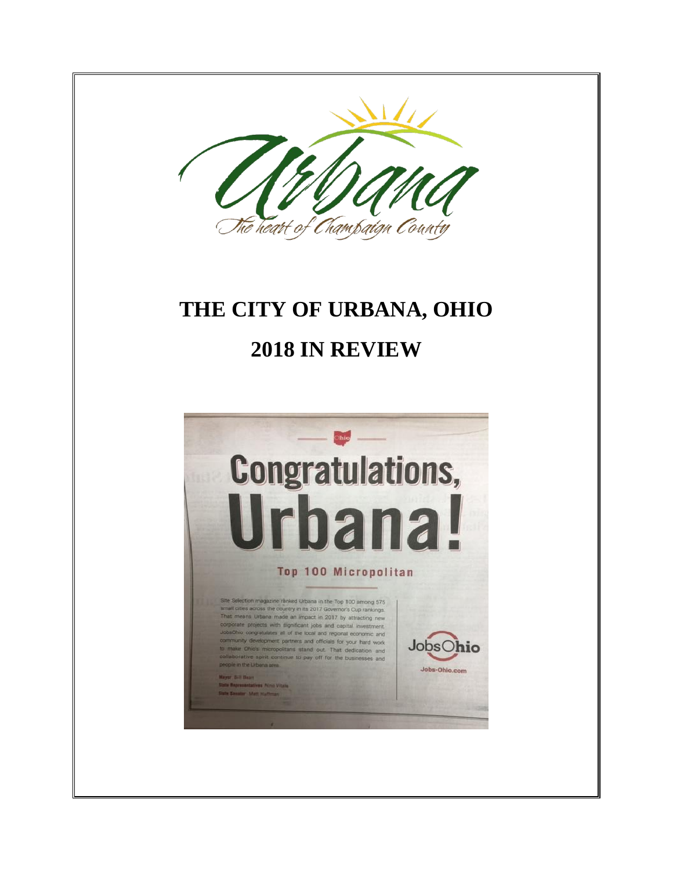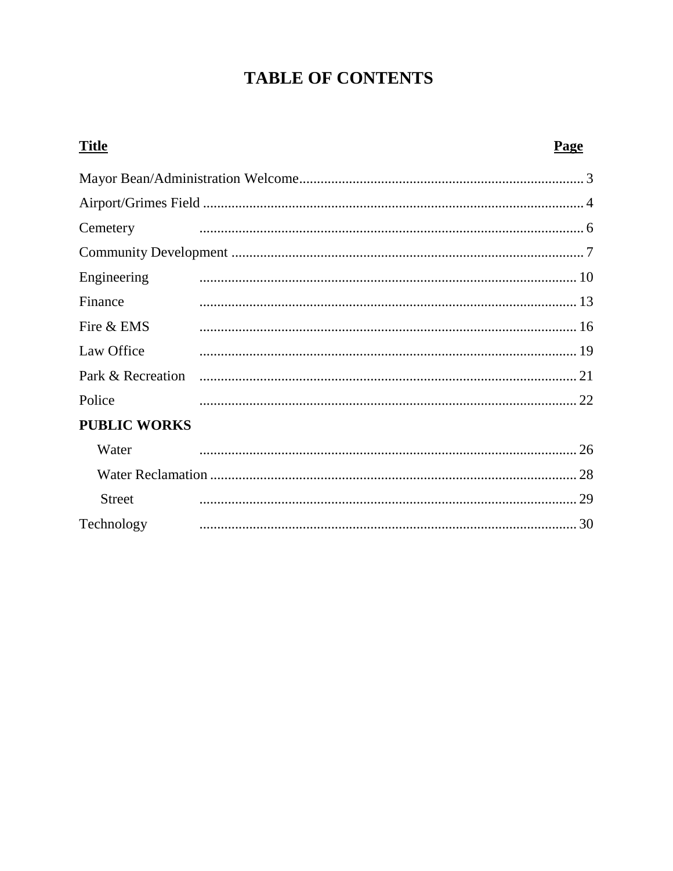# **TABLE OF CONTENTS**

| <b>Title</b>        | Page |
|---------------------|------|
|                     |      |
|                     |      |
| Cemetery            |      |
|                     |      |
| Engineering         |      |
| Finance             |      |
| Fire & EMS          |      |
| Law Office          |      |
|                     |      |
| Police              |      |
| <b>PUBLIC WORKS</b> |      |
| Water               |      |
|                     |      |
| <b>Street</b>       |      |
| Technology          |      |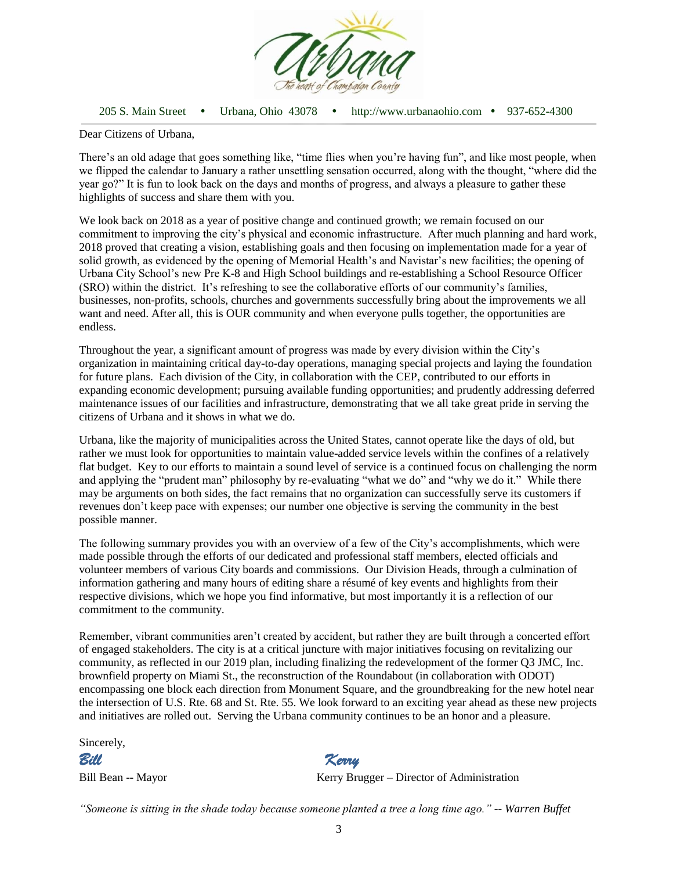

205 S. Main Street Urbana, Ohio 43078 http://www.urbanaohio.com 937-652-4300

Dear Citizens of Urbana,

There's an old adage that goes something like, "time flies when you're having fun", and like most people, when we flipped the calendar to January a rather unsettling sensation occurred, along with the thought, "where did the year go?" It is fun to look back on the days and months of progress, and always a pleasure to gather these highlights of success and share them with you.

We look back on 2018 as a year of positive change and continued growth; we remain focused on our commitment to improving the city's physical and economic infrastructure. After much planning and hard work, 2018 proved that creating a vision, establishing goals and then focusing on implementation made for a year of solid growth, as evidenced by the opening of Memorial Health's and Navistar's new facilities; the opening of Urbana City School's new Pre K-8 and High School buildings and re-establishing a School Resource Officer (SRO) within the district. It's refreshing to see the collaborative efforts of our community's families, businesses, non-profits, schools, churches and governments successfully bring about the improvements we all want and need. After all, this is OUR community and when everyone pulls together, the opportunities are endless.

Throughout the year, a significant amount of progress was made by every division within the City's organization in maintaining critical day-to-day operations, managing special projects and laying the foundation for future plans. Each division of the City, in collaboration with the CEP, contributed to our efforts in expanding economic development; pursuing available funding opportunities; and prudently addressing deferred maintenance issues of our facilities and infrastructure, demonstrating that we all take great pride in serving the citizens of Urbana and it shows in what we do.

Urbana, like the majority of municipalities across the United States, cannot operate like the days of old, but rather we must look for opportunities to maintain value-added service levels within the confines of a relatively flat budget. Key to our efforts to maintain a sound level of service is a continued focus on challenging the norm and applying the "prudent man" philosophy by re-evaluating "what we do" and "why we do it." While there may be arguments on both sides, the fact remains that no organization can successfully serve its customers if revenues don't keep pace with expenses; our number one objective is serving the community in the best possible manner.

The following summary provides you with an overview of a few of the City's accomplishments, which were made possible through the efforts of our dedicated and professional staff members, elected officials and volunteer members of various City boards and commissions. Our Division Heads, through a culmination of information gathering and many hours of editing share a résumé of key events and highlights from their respective divisions, which we hope you find informative, but most importantly it is a reflection of our commitment to the community.

Remember, vibrant communities aren't created by accident, but rather they are built through a concerted effort of engaged stakeholders. The city is at a critical juncture with major initiatives focusing on revitalizing our community, as reflected in our 2019 plan, including finalizing the redevelopment of the former Q3 JMC, Inc. brownfield property on Miami St., the reconstruction of the Roundabout (in collaboration with ODOT) encompassing one block each direction from Monument Square, and the groundbreaking for the new hotel near the intersection of U.S. Rte. 68 and St. Rte. 55. We look forward to an exciting year ahead as these new projects and initiatives are rolled out. Serving the Urbana community continues to be an honor and a pleasure.

Sincerely,

*Bill Kerry*

Bill Bean -- Mayor Kerry Brugger – Director of Administration

*"Someone is sitting in the shade today because someone planted a tree a long time ago." -- Warren Buffet*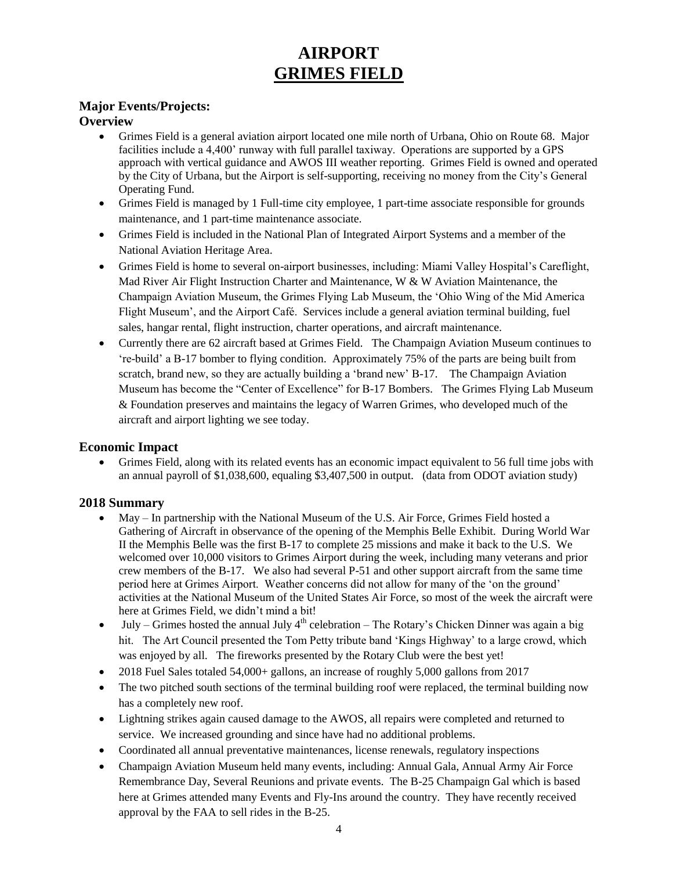## **AIRPORT GRIMES FIELD**

## **Major Events/Projects:**

## **Overview**

- Grimes Field is a general aviation airport located one mile north of Urbana, Ohio on Route 68. Major facilities include a 4,400' runway with full parallel taxiway. Operations are supported by a GPS approach with vertical guidance and AWOS III weather reporting. Grimes Field is owned and operated by the City of Urbana, but the Airport is self-supporting, receiving no money from the City's General Operating Fund.
- Grimes Field is managed by 1 Full-time city employee, 1 part-time associate responsible for grounds maintenance, and 1 part-time maintenance associate.
- Grimes Field is included in the National Plan of Integrated Airport Systems and a member of the National Aviation Heritage Area.
- Grimes Field is home to several on-airport businesses, including: Miami Valley Hospital's Careflight, Mad River Air Flight Instruction Charter and Maintenance, W & W Aviation Maintenance, the Champaign Aviation Museum, the Grimes Flying Lab Museum, the 'Ohio Wing of the Mid America Flight Museum', and the Airport Café. Services include a general aviation terminal building, fuel sales, hangar rental, flight instruction, charter operations, and aircraft maintenance.
- Currently there are 62 aircraft based at Grimes Field. The Champaign Aviation Museum continues to 're-build' a B-17 bomber to flying condition. Approximately 75% of the parts are being built from scratch, brand new, so they are actually building a 'brand new' B-17. The Champaign Aviation Museum has become the "Center of Excellence" for B-17 Bombers. The Grimes Flying Lab Museum & Foundation preserves and maintains the legacy of Warren Grimes, who developed much of the aircraft and airport lighting we see today.

## **Economic Impact**

 Grimes Field, along with its related events has an economic impact equivalent to 56 full time jobs with an annual payroll of \$1,038,600, equaling \$3,407,500 in output. (data from ODOT aviation study)

## **2018 Summary**

- May In partnership with the National Museum of the U.S. Air Force, Grimes Field hosted a Gathering of Aircraft in observance of the opening of the Memphis Belle Exhibit. During World War II the Memphis Belle was the first B-17 to complete 25 missions and make it back to the U.S. We welcomed over 10,000 visitors to Grimes Airport during the week, including many veterans and prior crew members of the B-17. We also had several P-51 and other support aircraft from the same time period here at Grimes Airport. Weather concerns did not allow for many of the 'on the ground' activities at the National Museum of the United States Air Force, so most of the week the aircraft were here at Grimes Field, we didn't mind a bit!
- $\bullet$  July Grimes hosted the annual July 4<sup>th</sup> celebration The Rotary's Chicken Dinner was again a big hit. The Art Council presented the Tom Petty tribute band 'Kings Highway' to a large crowd, which was enjoyed by all. The fireworks presented by the Rotary Club were the best yet!
- 2018 Fuel Sales totaled 54,000+ gallons, an increase of roughly 5,000 gallons from 2017
- The two pitched south sections of the terminal building roof were replaced, the terminal building now has a completely new roof.
- Lightning strikes again caused damage to the AWOS, all repairs were completed and returned to service. We increased grounding and since have had no additional problems.
- Coordinated all annual preventative maintenances, license renewals, regulatory inspections
- Champaign Aviation Museum held many events, including: Annual Gala, Annual Army Air Force Remembrance Day, Several Reunions and private events. The B-25 Champaign Gal which is based here at Grimes attended many Events and Fly-Ins around the country. They have recently received approval by the FAA to sell rides in the B-25.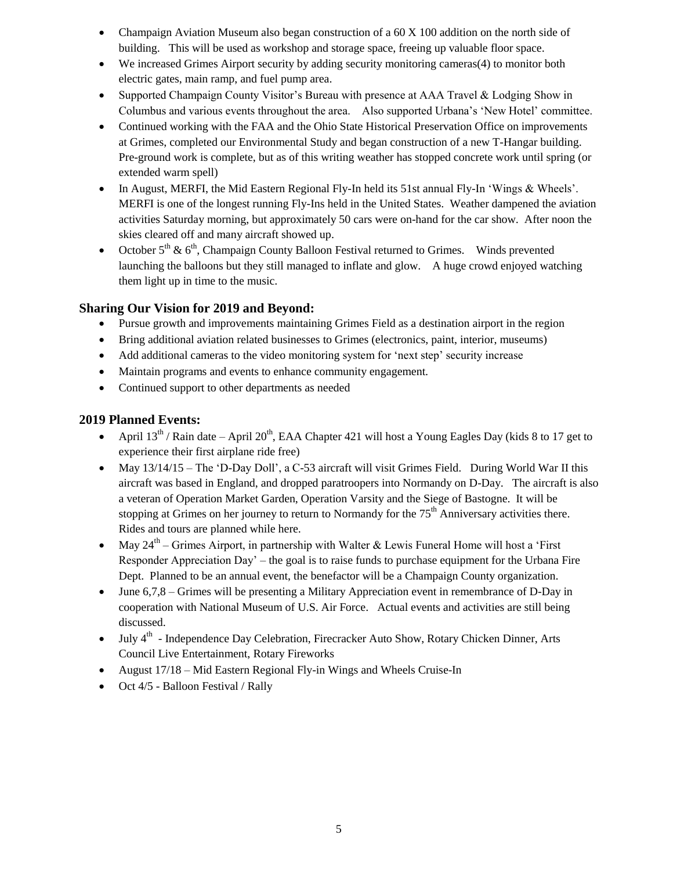- Champaign Aviation Museum also began construction of a 60 X 100 addition on the north side of building. This will be used as workshop and storage space, freeing up valuable floor space.
- We increased Grimes Airport security by adding security monitoring cameras(4) to monitor both electric gates, main ramp, and fuel pump area.
- Supported Champaign County Visitor's Bureau with presence at AAA Travel & Lodging Show in Columbus and various events throughout the area. Also supported Urbana's 'New Hotel' committee.
- Continued working with the FAA and the Ohio State Historical Preservation Office on improvements at Grimes, completed our Environmental Study and began construction of a new T-Hangar building. Pre-ground work is complete, but as of this writing weather has stopped concrete work until spring (or extended warm spell)
- In August, MERFI, the Mid Eastern Regional Fly-In held its 51st annual Fly-In 'Wings & Wheels'. MERFI is one of the longest running Fly-Ins held in the United States. Weather dampened the aviation activities Saturday morning, but approximately 50 cars were on-hand for the car show. After noon the skies cleared off and many aircraft showed up.
- October  $5<sup>th</sup>$  &  $6<sup>th</sup>$ , Champaign County Balloon Festival returned to Grimes. Winds prevented launching the balloons but they still managed to inflate and glow. A huge crowd enjoyed watching them light up in time to the music.

## **Sharing Our Vision for 2019 and Beyond:**

- Pursue growth and improvements maintaining Grimes Field as a destination airport in the region
- Bring additional aviation related businesses to Grimes (electronics, paint, interior, museums)
- Add additional cameras to the video monitoring system for 'next step' security increase
- Maintain programs and events to enhance community engagement.
- Continued support to other departments as needed

## **2019 Planned Events:**

- April  $13^{th}$  / Rain date April  $20^{th}$ , EAA Chapter 421 will host a Young Eagles Day (kids 8 to 17 get to experience their first airplane ride free)
- May  $13/14/15$  The 'D-Day Doll', a C-53 aircraft will visit Grimes Field. During World War II this aircraft was based in England, and dropped paratroopers into Normandy on D-Day. The aircraft is also a veteran of Operation Market Garden, Operation Varsity and the Siege of Bastogne. It will be stopping at Grimes on her journey to return to Normandy for the  $75<sup>th</sup>$  Anniversary activities there. Rides and tours are planned while here.
- May  $24<sup>th</sup>$  Grimes Airport, in partnership with Walter & Lewis Funeral Home will host a 'First Responder Appreciation Day' – the goal is to raise funds to purchase equipment for the Urbana Fire Dept. Planned to be an annual event, the benefactor will be a Champaign County organization.
- June 6,7,8 Grimes will be presenting a Military Appreciation event in remembrance of D-Day in cooperation with National Museum of U.S. Air Force. Actual events and activities are still being discussed.
- $\bullet$  July  $4^{\text{th}}$  Independence Day Celebration, Firecracker Auto Show, Rotary Chicken Dinner, Arts Council Live Entertainment, Rotary Fireworks
- August 17/18 Mid Eastern Regional Fly-in Wings and Wheels Cruise-In
- $\bullet$  Oct 4/5 Balloon Festival / Rally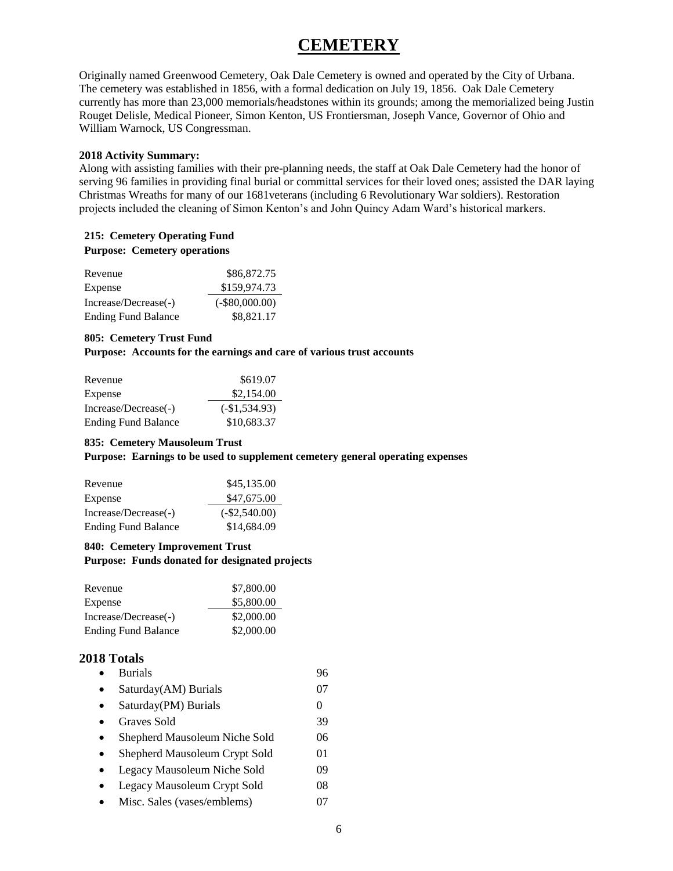## **CEMETERY**

Originally named Greenwood Cemetery, Oak Dale Cemetery is owned and operated by the City of Urbana. The cemetery was established in 1856, with a formal dedication on July 19, 1856. Oak Dale Cemetery currently has more than 23,000 memorials/headstones within its grounds; among the memorialized being Justin Rouget Delisle, Medical Pioneer, Simon Kenton, US Frontiersman, Joseph Vance, Governor of Ohio and William Warnock, US Congressman.

#### **2018 Activity Summary:**

Along with assisting families with their pre-planning needs, the staff at Oak Dale Cemetery had the honor of serving 96 families in providing final burial or committal services for their loved ones; assisted the DAR laying Christmas Wreaths for many of our 1681veterans (including 6 Revolutionary War soldiers). Restoration projects included the cleaning of Simon Kenton's and John Quincy Adam Ward's historical markers.

#### **215: Cemetery Operating Fund Purpose: Cemetery operations**

| Revenue                    | \$86,872.75      |
|----------------------------|------------------|
| Expense                    | \$159,974.73     |
| Increase/Decrease(-)       | $(-\$80,000.00)$ |
| <b>Ending Fund Balance</b> | \$8,821.17       |

#### **805: Cemetery Trust Fund**

**Purpose: Accounts for the earnings and care of various trust accounts**

| Revenue                    | \$619.07        |
|----------------------------|-----------------|
| Expense                    | \$2,154.00      |
| Increase/Decrease(-)       | $(-\$1,534.93)$ |
| <b>Ending Fund Balance</b> | \$10,683.37     |

#### **835: Cemetery Mausoleum Trust**

**Purpose: Earnings to be used to supplement cemetery general operating expenses**

| Revenue                    | \$45,135.00     |
|----------------------------|-----------------|
| Expense                    | \$47,675.00     |
| Increase/Decrease(-)       | $(-\$2,540.00)$ |
| <b>Ending Fund Balance</b> | \$14,684.09     |

#### **840: Cemetery Improvement Trust**

**Purpose: Funds donated for designated projects**

| Revenue                    | \$7,800.00 |
|----------------------------|------------|
| Expense                    | \$5,800.00 |
| Increase/Decrease(-)       | \$2,000.00 |
| <b>Ending Fund Balance</b> | \$2,000.00 |

#### **2018 Totals**

| <b>Burials</b>                       | 96       |
|--------------------------------------|----------|
| Saturday(AM) Burials                 | 07       |
| Saturday(PM) Burials                 | $\Omega$ |
| Graves Sold                          | 39       |
| <b>Shepherd Mausoleum Niche Sold</b> | 06       |
| Shepherd Mausoleum Crypt Sold        | 01       |
| <b>Legacy Mausoleum Niche Sold</b>   | 09       |
| Legacy Mausoleum Crypt Sold          | 08       |
| Misc. Sales (vases/emblems)          |          |
|                                      |          |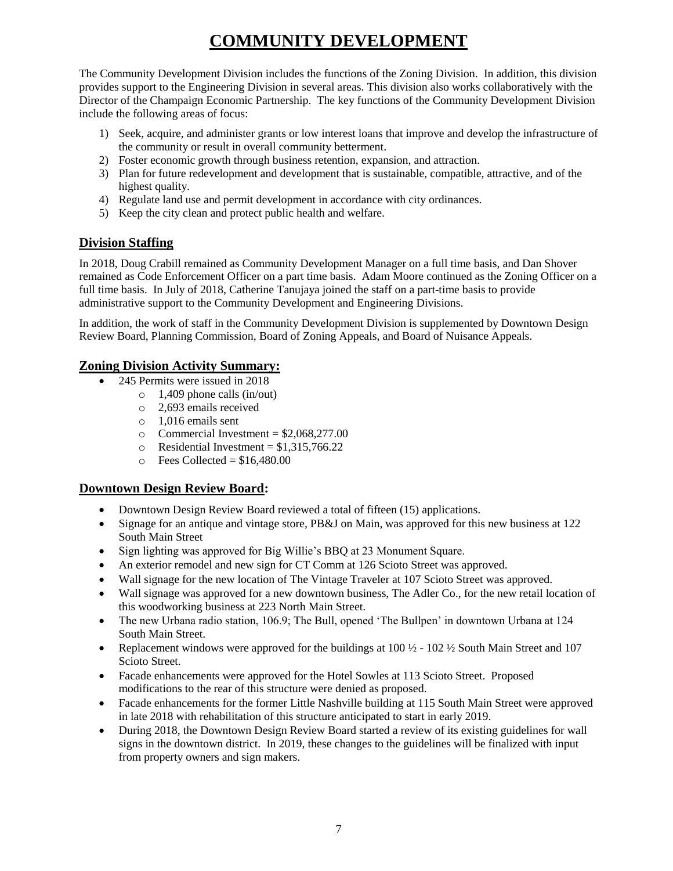# **COMMUNITY DEVELOPMENT**

The Community Development Division includes the functions of the Zoning Division. In addition, this division provides support to the Engineering Division in several areas. This division also works collaboratively with the Director of the Champaign Economic Partnership. The key functions of the Community Development Division include the following areas of focus:

- 1) Seek, acquire, and administer grants or low interest loans that improve and develop the infrastructure of the community or result in overall community betterment.
- 2) Foster economic growth through business retention, expansion, and attraction.
- 3) Plan for future redevelopment and development that is sustainable, compatible, attractive, and of the highest quality.
- 4) Regulate land use and permit development in accordance with city ordinances.
- 5) Keep the city clean and protect public health and welfare.

## **Division Staffing**

In 2018, Doug Crabill remained as Community Development Manager on a full time basis, and Dan Shover remained as Code Enforcement Officer on a part time basis. Adam Moore continued as the Zoning Officer on a full time basis. In July of 2018, Catherine Tanujaya joined the staff on a part-time basis to provide administrative support to the Community Development and Engineering Divisions.

In addition, the work of staff in the Community Development Division is supplemented by Downtown Design Review Board, Planning Commission, Board of Zoning Appeals, and Board of Nuisance Appeals.

## **Zoning Division Activity Summary:**

- 245 Permits were issued in 2018
	- o 1,409 phone calls (in/out)
		- o 2,693 emails received
		- o 1,016 emails sent
		- o Commercial Investment =  $$2,068,277.00$
		- $\circ$  Residential Investment = \$1,315,766.22
		- $\circ$  Fees Collected = \$16,480.00

## **Downtown Design Review Board:**

- Downtown Design Review Board reviewed a total of fifteen (15) applications.
- Signage for an antique and vintage store, PB&J on Main, was approved for this new business at 122 South Main Street
- Sign lighting was approved for Big Willie's BBQ at 23 Monument Square.
- An exterior remodel and new sign for CT Comm at 126 Scioto Street was approved.
- Wall signage for the new location of The Vintage Traveler at 107 Scioto Street was approved.
- Wall signage was approved for a new downtown business, The Adler Co., for the new retail location of this woodworking business at 223 North Main Street.
- The new Urbana radio station, 106.9; The Bull, opened 'The Bullpen' in downtown Urbana at 124 South Main Street.
- Replacement windows were approved for the buildings at  $100 \frac{1}{2}$   $102 \frac{1}{2}$  South Main Street and 107 Scioto Street.
- Facade enhancements were approved for the Hotel Sowles at 113 Scioto Street. Proposed modifications to the rear of this structure were denied as proposed.
- Facade enhancements for the former Little Nashville building at 115 South Main Street were approved in late 2018 with rehabilitation of this structure anticipated to start in early 2019.
- During 2018, the Downtown Design Review Board started a review of its existing guidelines for wall signs in the downtown district. In 2019, these changes to the guidelines will be finalized with input from property owners and sign makers.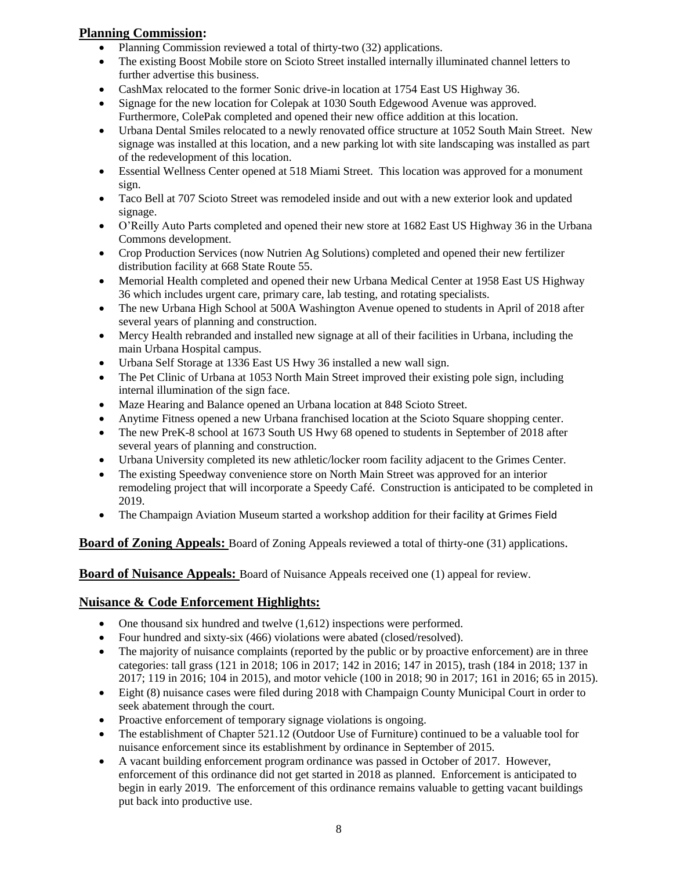## **Planning Commission:**

- Planning Commission reviewed a total of thirty-two (32) applications.
- The existing Boost Mobile store on Scioto Street installed internally illuminated channel letters to further advertise this business.
- CashMax relocated to the former Sonic drive-in location at 1754 East US Highway 36.
- Signage for the new location for Colepak at 1030 South Edgewood Avenue was approved. Furthermore, ColePak completed and opened their new office addition at this location.
- Urbana Dental Smiles relocated to a newly renovated office structure at 1052 South Main Street. New signage was installed at this location, and a new parking lot with site landscaping was installed as part of the redevelopment of this location.
- Essential Wellness Center opened at 518 Miami Street. This location was approved for a monument sign.
- Taco Bell at 707 Scioto Street was remodeled inside and out with a new exterior look and updated signage.
- O'Reilly Auto Parts completed and opened their new store at 1682 East US Highway 36 in the Urbana Commons development.
- Crop Production Services (now Nutrien Ag Solutions) completed and opened their new fertilizer distribution facility at 668 State Route 55.
- Memorial Health completed and opened their new Urbana Medical Center at 1958 East US Highway 36 which includes urgent care, primary care, lab testing, and rotating specialists.
- The new Urbana High School at 500A Washington Avenue opened to students in April of 2018 after several years of planning and construction.
- Mercy Health rebranded and installed new signage at all of their facilities in Urbana, including the main Urbana Hospital campus.
- Urbana Self Storage at 1336 East US Hwy 36 installed a new wall sign.
- The Pet Clinic of Urbana at 1053 North Main Street improved their existing pole sign, including internal illumination of the sign face.
- Maze Hearing and Balance opened an Urbana location at 848 Scioto Street.
- Anytime Fitness opened a new Urbana franchised location at the Scioto Square shopping center.
- The new PreK-8 school at 1673 South US Hwy 68 opened to students in September of 2018 after several years of planning and construction.
- Urbana University completed its new athletic/locker room facility adjacent to the Grimes Center.
- The existing Speedway convenience store on North Main Street was approved for an interior remodeling project that will incorporate a Speedy Café. Construction is anticipated to be completed in 2019.
- The Champaign Aviation Museum started a workshop addition for their facility at Grimes Field

## **Board of Zoning Appeals:** Board of Zoning Appeals reviewed a total of thirty-one (31) applications.

**Board of Nuisance Appeals:** Board of Nuisance Appeals received one (1) appeal for review.

## **Nuisance & Code Enforcement Highlights:**

- One thousand six hundred and twelve (1,612) inspections were performed.
- Four hundred and sixty-six (466) violations were abated (closed/resolved).
- The majority of nuisance complaints (reported by the public or by proactive enforcement) are in three categories: tall grass (121 in 2018; 106 in 2017; 142 in 2016; 147 in 2015), trash (184 in 2018; 137 in 2017; 119 in 2016; 104 in 2015), and motor vehicle (100 in 2018; 90 in 2017; 161 in 2016; 65 in 2015).
- Eight (8) nuisance cases were filed during 2018 with Champaign County Municipal Court in order to seek abatement through the court.
- Proactive enforcement of temporary signage violations is ongoing.
- The establishment of Chapter 521.12 (Outdoor Use of Furniture) continued to be a valuable tool for nuisance enforcement since its establishment by ordinance in September of 2015.
- A vacant building enforcement program ordinance was passed in October of 2017. However, enforcement of this ordinance did not get started in 2018 as planned. Enforcement is anticipated to begin in early 2019. The enforcement of this ordinance remains valuable to getting vacant buildings put back into productive use.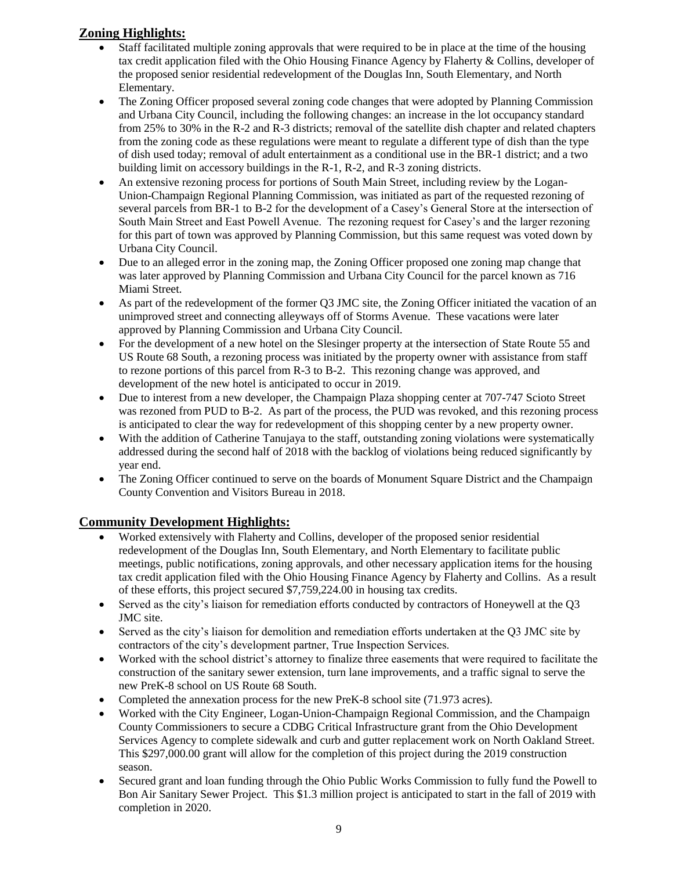## **Zoning Highlights:**

- Staff facilitated multiple zoning approvals that were required to be in place at the time of the housing tax credit application filed with the Ohio Housing Finance Agency by Flaherty & Collins, developer of the proposed senior residential redevelopment of the Douglas Inn, South Elementary, and North Elementary.
- The Zoning Officer proposed several zoning code changes that were adopted by Planning Commission and Urbana City Council, including the following changes: an increase in the lot occupancy standard from 25% to 30% in the R-2 and R-3 districts; removal of the satellite dish chapter and related chapters from the zoning code as these regulations were meant to regulate a different type of dish than the type of dish used today; removal of adult entertainment as a conditional use in the BR-1 district; and a two building limit on accessory buildings in the R-1, R-2, and R-3 zoning districts.
- An extensive rezoning process for portions of South Main Street, including review by the Logan-Union-Champaign Regional Planning Commission, was initiated as part of the requested rezoning of several parcels from BR-1 to B-2 for the development of a Casey's General Store at the intersection of South Main Street and East Powell Avenue. The rezoning request for Casey's and the larger rezoning for this part of town was approved by Planning Commission, but this same request was voted down by Urbana City Council.
- Due to an alleged error in the zoning map, the Zoning Officer proposed one zoning map change that was later approved by Planning Commission and Urbana City Council for the parcel known as 716 Miami Street.
- As part of the redevelopment of the former Q3 JMC site, the Zoning Officer initiated the vacation of an unimproved street and connecting alleyways off of Storms Avenue. These vacations were later approved by Planning Commission and Urbana City Council.
- For the development of a new hotel on the Slesinger property at the intersection of State Route 55 and US Route 68 South, a rezoning process was initiated by the property owner with assistance from staff to rezone portions of this parcel from R-3 to B-2. This rezoning change was approved, and development of the new hotel is anticipated to occur in 2019.
- Due to interest from a new developer, the Champaign Plaza shopping center at 707-747 Scioto Street was rezoned from PUD to B-2. As part of the process, the PUD was revoked, and this rezoning process is anticipated to clear the way for redevelopment of this shopping center by a new property owner.
- With the addition of Catherine Tanujaya to the staff, outstanding zoning violations were systematically addressed during the second half of 2018 with the backlog of violations being reduced significantly by year end.
- The Zoning Officer continued to serve on the boards of Monument Square District and the Champaign County Convention and Visitors Bureau in 2018.

## **Community Development Highlights:**

- Worked extensively with Flaherty and Collins, developer of the proposed senior residential redevelopment of the Douglas Inn, South Elementary, and North Elementary to facilitate public meetings, public notifications, zoning approvals, and other necessary application items for the housing tax credit application filed with the Ohio Housing Finance Agency by Flaherty and Collins. As a result of these efforts, this project secured \$7,759,224.00 in housing tax credits.
- Served as the city's liaison for remediation efforts conducted by contractors of Honeywell at the Q3 JMC site.
- Served as the city's liaison for demolition and remediation efforts undertaken at the Q3 JMC site by contractors of the city's development partner, True Inspection Services.
- Worked with the school district's attorney to finalize three easements that were required to facilitate the construction of the sanitary sewer extension, turn lane improvements, and a traffic signal to serve the new PreK-8 school on US Route 68 South.
- Completed the annexation process for the new PreK-8 school site (71.973 acres).
- Worked with the City Engineer, Logan-Union-Champaign Regional Commission, and the Champaign County Commissioners to secure a CDBG Critical Infrastructure grant from the Ohio Development Services Agency to complete sidewalk and curb and gutter replacement work on North Oakland Street. This \$297,000.00 grant will allow for the completion of this project during the 2019 construction season.
- Secured grant and loan funding through the Ohio Public Works Commission to fully fund the Powell to Bon Air Sanitary Sewer Project. This \$1.3 million project is anticipated to start in the fall of 2019 with completion in 2020.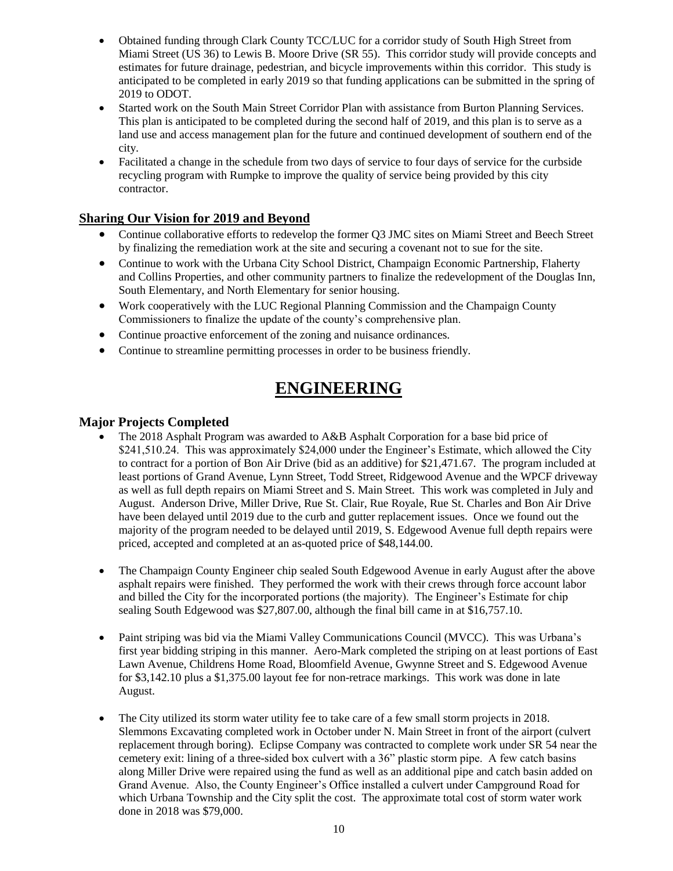- Obtained funding through Clark County TCC/LUC for a corridor study of South High Street from Miami Street (US 36) to Lewis B. Moore Drive (SR 55). This corridor study will provide concepts and estimates for future drainage, pedestrian, and bicycle improvements within this corridor. This study is anticipated to be completed in early 2019 so that funding applications can be submitted in the spring of 2019 to ODOT.
- Started work on the South Main Street Corridor Plan with assistance from Burton Planning Services. This plan is anticipated to be completed during the second half of 2019, and this plan is to serve as a land use and access management plan for the future and continued development of southern end of the city.
- Facilitated a change in the schedule from two days of service to four days of service for the curbside recycling program with Rumpke to improve the quality of service being provided by this city contractor.

## **Sharing Our Vision for 2019 and Beyond**

- Continue collaborative efforts to redevelop the former Q3 JMC sites on Miami Street and Beech Street by finalizing the remediation work at the site and securing a covenant not to sue for the site.
- Continue to work with the Urbana City School District, Champaign Economic Partnership, Flaherty and Collins Properties, and other community partners to finalize the redevelopment of the Douglas Inn, South Elementary, and North Elementary for senior housing.
- Work cooperatively with the LUC Regional Planning Commission and the Champaign County Commissioners to finalize the update of the county's comprehensive plan.
- Continue proactive enforcement of the zoning and nuisance ordinances.
- Continue to streamline permitting processes in order to be business friendly.

## **ENGINEERING**

## **Major Projects Completed**

- The 2018 Asphalt Program was awarded to A&B Asphalt Corporation for a base bid price of \$241,510.24. This was approximately \$24,000 under the Engineer's Estimate, which allowed the City to contract for a portion of Bon Air Drive (bid as an additive) for \$21,471.67. The program included at least portions of Grand Avenue, Lynn Street, Todd Street, Ridgewood Avenue and the WPCF driveway as well as full depth repairs on Miami Street and S. Main Street. This work was completed in July and August. Anderson Drive, Miller Drive, Rue St. Clair, Rue Royale, Rue St. Charles and Bon Air Drive have been delayed until 2019 due to the curb and gutter replacement issues. Once we found out the majority of the program needed to be delayed until 2019, S. Edgewood Avenue full depth repairs were priced, accepted and completed at an as-quoted price of \$48,144.00.
- The Champaign County Engineer chip sealed South Edgewood Avenue in early August after the above asphalt repairs were finished. They performed the work with their crews through force account labor and billed the City for the incorporated portions (the majority). The Engineer's Estimate for chip sealing South Edgewood was \$27,807.00, although the final bill came in at \$16,757.10.
- Paint striping was bid via the Miami Valley Communications Council (MVCC). This was Urbana's first year bidding striping in this manner. Aero-Mark completed the striping on at least portions of East Lawn Avenue, Childrens Home Road, Bloomfield Avenue, Gwynne Street and S. Edgewood Avenue for \$3,142.10 plus a \$1,375.00 layout fee for non-retrace markings. This work was done in late August.
- The City utilized its storm water utility fee to take care of a few small storm projects in 2018. Slemmons Excavating completed work in October under N. Main Street in front of the airport (culvert replacement through boring). Eclipse Company was contracted to complete work under SR 54 near the cemetery exit: lining of a three-sided box culvert with a 36" plastic storm pipe. A few catch basins along Miller Drive were repaired using the fund as well as an additional pipe and catch basin added on Grand Avenue. Also, the County Engineer's Office installed a culvert under Campground Road for which Urbana Township and the City split the cost. The approximate total cost of storm water work done in 2018 was \$79,000.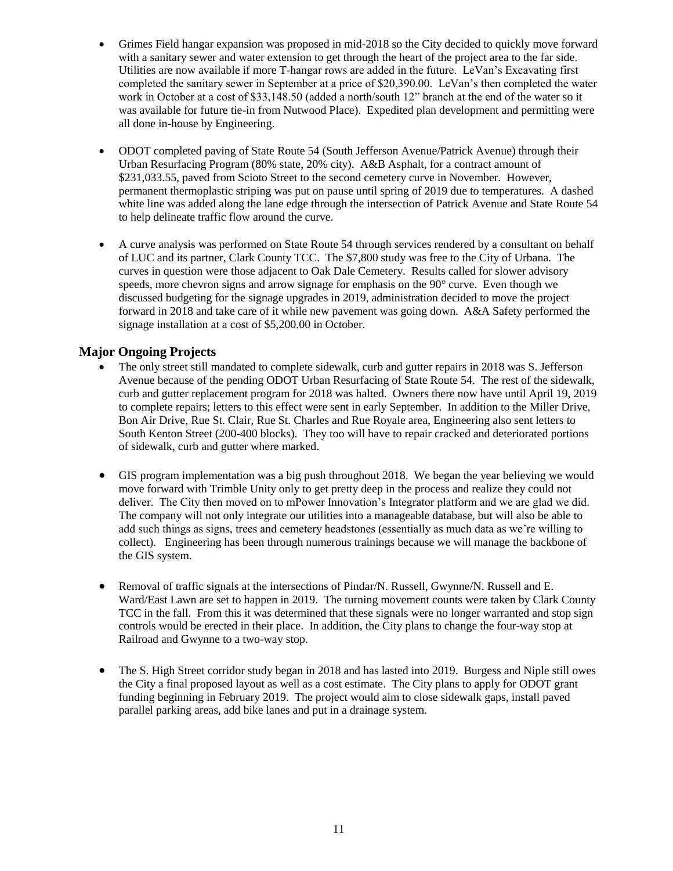- Grimes Field hangar expansion was proposed in mid-2018 so the City decided to quickly move forward with a sanitary sewer and water extension to get through the heart of the project area to the far side. Utilities are now available if more T-hangar rows are added in the future. LeVan's Excavating first completed the sanitary sewer in September at a price of \$20,390.00. LeVan's then completed the water work in October at a cost of \$33,148.50 (added a north/south 12" branch at the end of the water so it was available for future tie-in from Nutwood Place). Expedited plan development and permitting were all done in-house by Engineering.
- ODOT completed paving of State Route 54 (South Jefferson Avenue/Patrick Avenue) through their Urban Resurfacing Program (80% state, 20% city). A&B Asphalt, for a contract amount of \$231,033.55, paved from Scioto Street to the second cemetery curve in November. However, permanent thermoplastic striping was put on pause until spring of 2019 due to temperatures. A dashed white line was added along the lane edge through the intersection of Patrick Avenue and State Route 54 to help delineate traffic flow around the curve.
- A curve analysis was performed on State Route 54 through services rendered by a consultant on behalf of LUC and its partner, Clark County TCC. The \$7,800 study was free to the City of Urbana. The curves in question were those adjacent to Oak Dale Cemetery. Results called for slower advisory speeds, more chevron signs and arrow signage for emphasis on the 90° curve. Even though we discussed budgeting for the signage upgrades in 2019, administration decided to move the project forward in 2018 and take care of it while new pavement was going down. A&A Safety performed the signage installation at a cost of \$5,200.00 in October.

## **Major Ongoing Projects**

- The only street still mandated to complete sidewalk, curb and gutter repairs in 2018 was S. Jefferson Avenue because of the pending ODOT Urban Resurfacing of State Route 54. The rest of the sidewalk, curb and gutter replacement program for 2018 was halted. Owners there now have until April 19, 2019 to complete repairs; letters to this effect were sent in early September. In addition to the Miller Drive, Bon Air Drive, Rue St. Clair, Rue St. Charles and Rue Royale area, Engineering also sent letters to South Kenton Street (200-400 blocks). They too will have to repair cracked and deteriorated portions of sidewalk, curb and gutter where marked.
- GIS program implementation was a big push throughout 2018. We began the year believing we would move forward with Trimble Unity only to get pretty deep in the process and realize they could not deliver. The City then moved on to mPower Innovation's Integrator platform and we are glad we did. The company will not only integrate our utilities into a manageable database, but will also be able to add such things as signs, trees and cemetery headstones (essentially as much data as we're willing to collect). Engineering has been through numerous trainings because we will manage the backbone of the GIS system.
- Removal of traffic signals at the intersections of Pindar/N. Russell, Gwynne/N. Russell and E. Ward/East Lawn are set to happen in 2019. The turning movement counts were taken by Clark County TCC in the fall. From this it was determined that these signals were no longer warranted and stop sign controls would be erected in their place. In addition, the City plans to change the four-way stop at Railroad and Gwynne to a two-way stop.
- The S. High Street corridor study began in 2018 and has lasted into 2019. Burgess and Niple still owes the City a final proposed layout as well as a cost estimate. The City plans to apply for ODOT grant funding beginning in February 2019. The project would aim to close sidewalk gaps, install paved parallel parking areas, add bike lanes and put in a drainage system.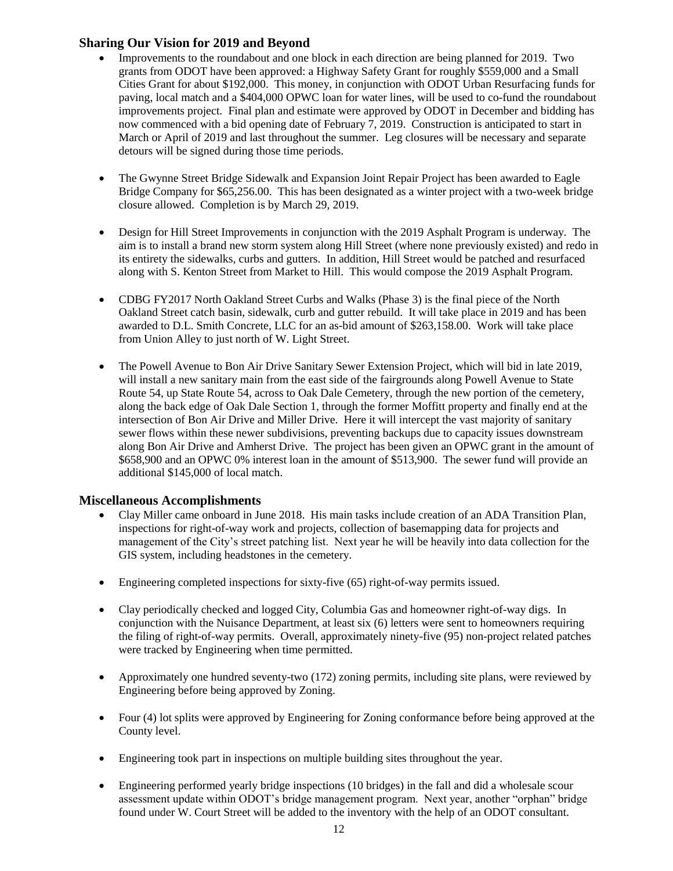## **Sharing Our Vision for 2019 and Beyond**

- Improvements to the roundabout and one block in each direction are being planned for 2019. Two grants from ODOT have been approved: a Highway Safety Grant for roughly \$559,000 and a Small Cities Grant for about \$192,000. This money, in conjunction with ODOT Urban Resurfacing funds for paving, local match and a \$404,000 OPWC loan for water lines, will be used to co-fund the roundabout improvements project. Final plan and estimate were approved by ODOT in December and bidding has now commenced with a bid opening date of February 7, 2019. Construction is anticipated to start in March or April of 2019 and last throughout the summer. Leg closures will be necessary and separate detours will be signed during those time periods.
- The Gwynne Street Bridge Sidewalk and Expansion Joint Repair Project has been awarded to Eagle Bridge Company for \$65,256.00. This has been designated as a winter project with a two-week bridge closure allowed. Completion is by March 29, 2019.
- Design for Hill Street Improvements in conjunction with the 2019 Asphalt Program is underway. The aim is to install a brand new storm system along Hill Street (where none previously existed) and redo in its entirety the sidewalks, curbs and gutters. In addition, Hill Street would be patched and resurfaced along with S. Kenton Street from Market to Hill. This would compose the 2019 Asphalt Program.
- CDBG FY2017 North Oakland Street Curbs and Walks (Phase 3) is the final piece of the North Oakland Street catch basin, sidewalk, curb and gutter rebuild. It will take place in 2019 and has been awarded to D.L. Smith Concrete, LLC for an as-bid amount of \$263,158.00. Work will take place from Union Alley to just north of W. Light Street.
- The Powell Avenue to Bon Air Drive Sanitary Sewer Extension Project, which will bid in late 2019, will install a new sanitary main from the east side of the fairgrounds along Powell Avenue to State Route 54, up State Route 54, across to Oak Dale Cemetery, through the new portion of the cemetery, along the back edge of Oak Dale Section 1, through the former Moffitt property and finally end at the intersection of Bon Air Drive and Miller Drive. Here it will intercept the vast majority of sanitary sewer flows within these newer subdivisions, preventing backups due to capacity issues downstream along Bon Air Drive and Amherst Drive. The project has been given an OPWC grant in the amount of \$658,900 and an OPWC 0% interest loan in the amount of \$513,900. The sewer fund will provide an additional \$145,000 of local match.

#### **Miscellaneous Accomplishments**

- Clay Miller came onboard in June 2018. His main tasks include creation of an ADA Transition Plan, inspections for right-of-way work and projects, collection of basemapping data for projects and management of the City's street patching list. Next year he will be heavily into data collection for the GIS system, including headstones in the cemetery.
- Engineering completed inspections for sixty-five (65) right-of-way permits issued.
- Clay periodically checked and logged City, Columbia Gas and homeowner right-of-way digs. In conjunction with the Nuisance Department, at least six (6) letters were sent to homeowners requiring the filing of right-of-way permits. Overall, approximately ninety-five (95) non-project related patches were tracked by Engineering when time permitted.
- Approximately one hundred seventy-two (172) zoning permits, including site plans, were reviewed by Engineering before being approved by Zoning.
- Four (4) lot splits were approved by Engineering for Zoning conformance before being approved at the County level.
- Engineering took part in inspections on multiple building sites throughout the year.
- Engineering performed yearly bridge inspections (10 bridges) in the fall and did a wholesale scour assessment update within ODOT's bridge management program. Next year, another "orphan" bridge found under W. Court Street will be added to the inventory with the help of an ODOT consultant.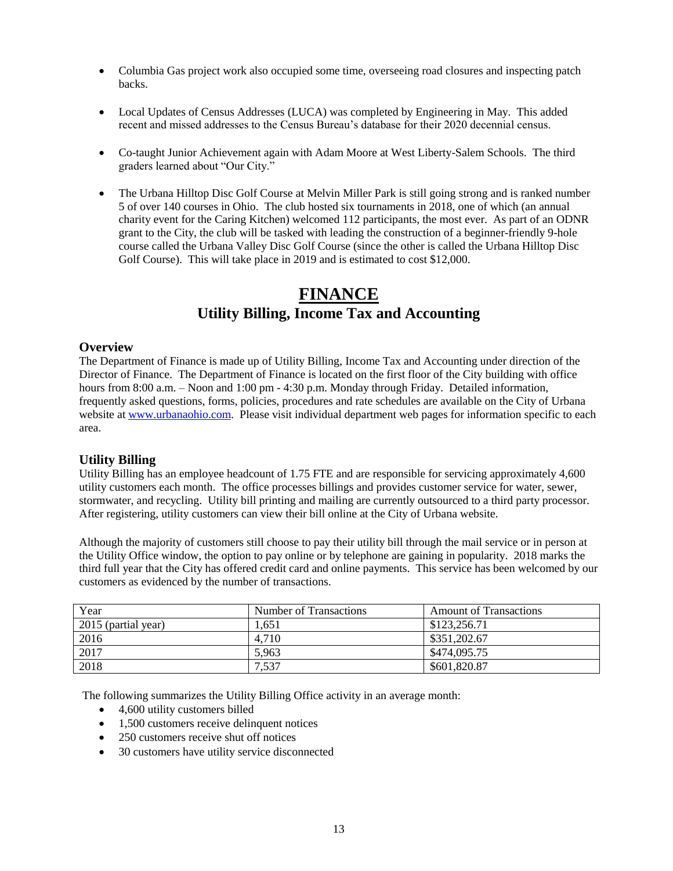- Columbia Gas project work also occupied some time, overseeing road closures and inspecting patch backs.
- Local Updates of Census Addresses (LUCA) was completed by Engineering in May. This added recent and missed addresses to the Census Bureau's database for their 2020 decennial census.
- Co-taught Junior Achievement again with Adam Moore at West Liberty-Salem Schools. The third graders learned about "Our City."
- The Urbana Hilltop Disc Golf Course at Melvin Miller Park is still going strong and is ranked number 5 of over 140 courses in Ohio. The club hosted six tournaments in 2018, one of which (an annual charity event for the Caring Kitchen) welcomed 112 participants, the most ever. As part of an ODNR grant to the City, the club will be tasked with leading the construction of a beginner-friendly 9-hole course called the Urbana Valley Disc Golf Course (since the other is called the Urbana Hilltop Disc Golf Course). This will take place in 2019 and is estimated to cost \$12,000.

## **FINANCE Utility Billing, Income Tax and Accounting**

### **Overview**

The Department of Finance is made up of Utility Billing, Income Tax and Accounting under direction of the Director of Finance. The Department of Finance is located on the first floor of the City building with office hours from 8:00 a.m. – Noon and 1:00 pm - 4:30 p.m. Monday through Friday. Detailed information, frequently asked questions, forms, policies, procedures and rate schedules are available on the City of Urbana website at [www.urbanaohio.com.](http://www.urbanaohio.com/) Please visit individual department web pages for information specific to each area.

## **Utility Billing**

Utility Billing has an employee headcount of 1.75 FTE and are responsible for servicing approximately 4,600 utility customers each month. The office processes billings and provides customer service for water, sewer, stormwater, and recycling. Utility bill printing and mailing are currently outsourced to a third party processor. After registering, utility customers can view their bill online at the City of Urbana website.

Although the majority of customers still choose to pay their utility bill through the mail service or in person at the Utility Office window, the option to pay online or by telephone are gaining in popularity. 2018 marks the third full year that the City has offered credit card and online payments. This service has been welcomed by our customers as evidenced by the number of transactions.

| Year                        | Number of Transactions | <b>Amount of Transactions</b> |
|-----------------------------|------------------------|-------------------------------|
| $\vert$ 2015 (partial year) | 1.651                  | \$123,256.71                  |
| 2016                        | 4.710                  | \$351,202.67                  |
| $\overline{2017}$           | 5,963                  | \$474,095.75                  |
| 2018                        | 7.537                  | \$601,820.87                  |

The following summarizes the Utility Billing Office activity in an average month:

- 4,600 utility customers billed
- 1,500 customers receive delinquent notices
- 250 customers receive shut off notices
- 30 customers have utility service disconnected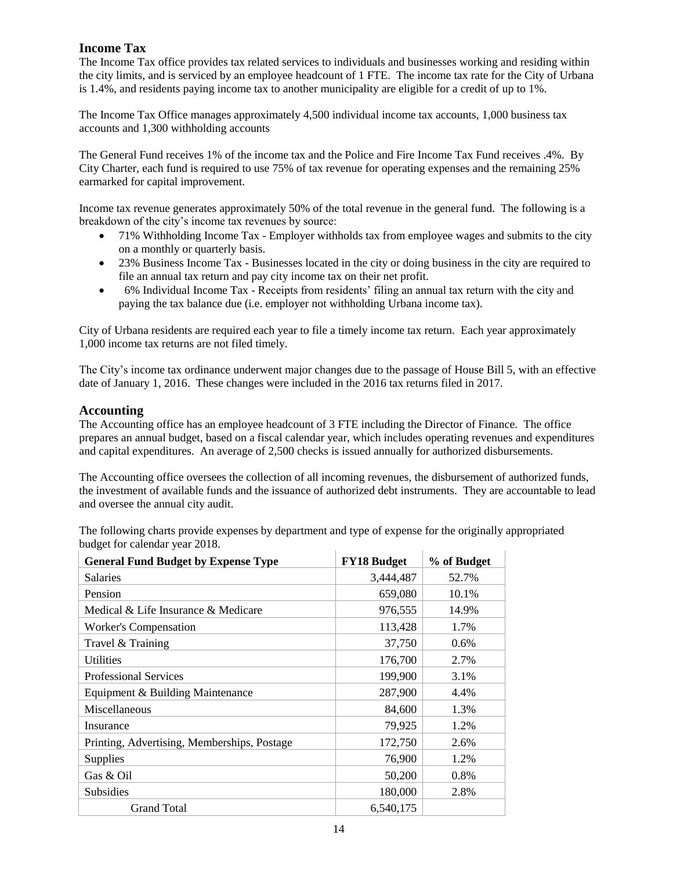## **Income Tax**

The Income Tax office provides tax related services to individuals and businesses working and residing within the city limits, and is serviced by an employee headcount of 1 FTE. The income tax rate for the City of Urbana is 1.4%, and residents paying income tax to another municipality are eligible for a credit of up to 1%.

The Income Tax Office manages approximately 4,500 individual income tax accounts, 1,000 business tax accounts and 1,300 withholding accounts

The General Fund receives 1% of the income tax and the Police and Fire Income Tax Fund receives .4%. By City Charter, each fund is required to use 75% of tax revenue for operating expenses and the remaining 25% earmarked for capital improvement.

Income tax revenue generates approximately 50% of the total revenue in the general fund. The following is a breakdown of the city's income tax revenues by source:

- 71% Withholding Income Tax Employer withholds tax from employee wages and submits to the city on a monthly or quarterly basis.
- 23% Business Income Tax Businesses located in the city or doing business in the city are required to file an annual tax return and pay city income tax on their net profit.
- 6% Individual Income Tax Receipts from residents' filing an annual tax return with the city and paying the tax balance due (i.e. employer not withholding Urbana income tax).

City of Urbana residents are required each year to file a timely income tax return. Each year approximately 1,000 income tax returns are not filed timely.

The City's income tax ordinance underwent major changes due to the passage of House Bill 5, with an effective date of January 1, 2016. These changes were included in the 2016 tax returns filed in 2017.

### **Accounting**

The Accounting office has an employee headcount of 3 FTE including the Director of Finance. The office prepares an annual budget, based on a fiscal calendar year, which includes operating revenues and expenditures and capital expenditures. An average of 2,500 checks is issued annually for authorized disbursements.

The Accounting office oversees the collection of all incoming revenues, the disbursement of authorized funds, the investment of available funds and the issuance of authorized debt instruments. They are accountable to lead and oversee the annual city audit.

The following charts provide expenses by department and type of expense for the originally appropriated budget for calendar year 2018.

| <b>General Fund Budget by Expense Type</b>  | <b>FY18 Budget</b> | % of Budget |
|---------------------------------------------|--------------------|-------------|
| Salaries                                    | 3,444,487          | 52.7%       |
| Pension                                     | 659,080            | 10.1%       |
| Medical & Life Insurance & Medicare         | 976,555            | 14.9%       |
| Worker's Compensation                       | 113,428            | 1.7%        |
| Travel & Training                           | 37,750             | $0.6\%$     |
| <b>Utilities</b>                            | 176,700            | 2.7%        |
| <b>Professional Services</b>                | 199,900            | 3.1%        |
| Equipment & Building Maintenance            | 287,900            | 4.4%        |
| Miscellaneous                               | 84,600             | 1.3%        |
| Insurance                                   | 79,925             | 1.2%        |
| Printing, Advertising, Memberships, Postage | 172,750            | 2.6%        |
| <b>Supplies</b>                             | 76,900             | 1.2%        |
| Gas & Oil                                   | 50,200             | 0.8%        |
| Subsidies                                   | 180,000            | 2.8%        |
| <b>Grand Total</b>                          | 6,540,175          |             |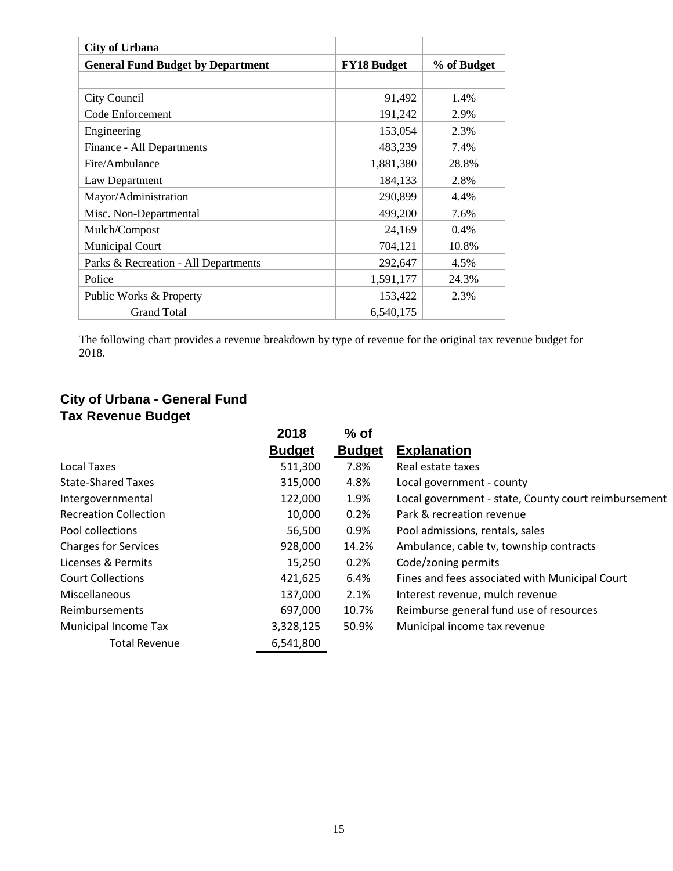| <b>City of Urbana</b>                    |                    |             |
|------------------------------------------|--------------------|-------------|
| <b>General Fund Budget by Department</b> | <b>FY18 Budget</b> | % of Budget |
|                                          |                    |             |
| City Council                             | 91,492             | 1.4%        |
| Code Enforcement                         | 191,242            | 2.9%        |
| Engineering                              | 153,054            | 2.3%        |
| Finance - All Departments                | 483,239            | 7.4%        |
| Fire/Ambulance                           | 1,881,380          | 28.8%       |
| Law Department                           | 184,133            | 2.8%        |
| Mayor/Administration                     | 290,899            | 4.4%        |
| Misc. Non-Departmental                   | 499,200            | 7.6%        |
| Mulch/Compost                            | 24,169             | $0.4\%$     |
| <b>Municipal Court</b>                   | 704,121            | 10.8%       |
| Parks & Recreation - All Departments     | 292,647            | 4.5%        |
| Police                                   | 1,591,177          | 24.3%       |
| Public Works & Property                  | 153,422            | 2.3%        |
| <b>Grand Total</b>                       | 6,540,175          |             |

The following chart provides a revenue breakdown by type of revenue for the original tax revenue budget for 2018.

## **City of Urbana - General Fund Tax Revenue Budget**

|                              | 2018          | $%$ of        |                                                      |
|------------------------------|---------------|---------------|------------------------------------------------------|
|                              | <b>Budget</b> | <b>Budget</b> | <b>Explanation</b>                                   |
| Local Taxes                  | 511,300       | 7.8%          | Real estate taxes                                    |
| <b>State-Shared Taxes</b>    | 315,000       | 4.8%          | Local government - county                            |
| Intergovernmental            | 122,000       | 1.9%          | Local government - state, County court reimbursement |
| <b>Recreation Collection</b> | 10,000        | 0.2%          | Park & recreation revenue                            |
| Pool collections             | 56,500        | 0.9%          | Pool admissions, rentals, sales                      |
| <b>Charges for Services</b>  | 928,000       | 14.2%         | Ambulance, cable tv, township contracts              |
| Licenses & Permits           | 15,250        | 0.2%          | Code/zoning permits                                  |
| <b>Court Collections</b>     | 421,625       | 6.4%          | Fines and fees associated with Municipal Court       |
| Miscellaneous                | 137,000       | 2.1%          | Interest revenue, mulch revenue                      |
| Reimbursements               | 697,000       | 10.7%         | Reimburse general fund use of resources              |
| Municipal Income Tax         | 3,328,125     | 50.9%         | Municipal income tax revenue                         |
| <b>Total Revenue</b>         | 6,541,800     |               |                                                      |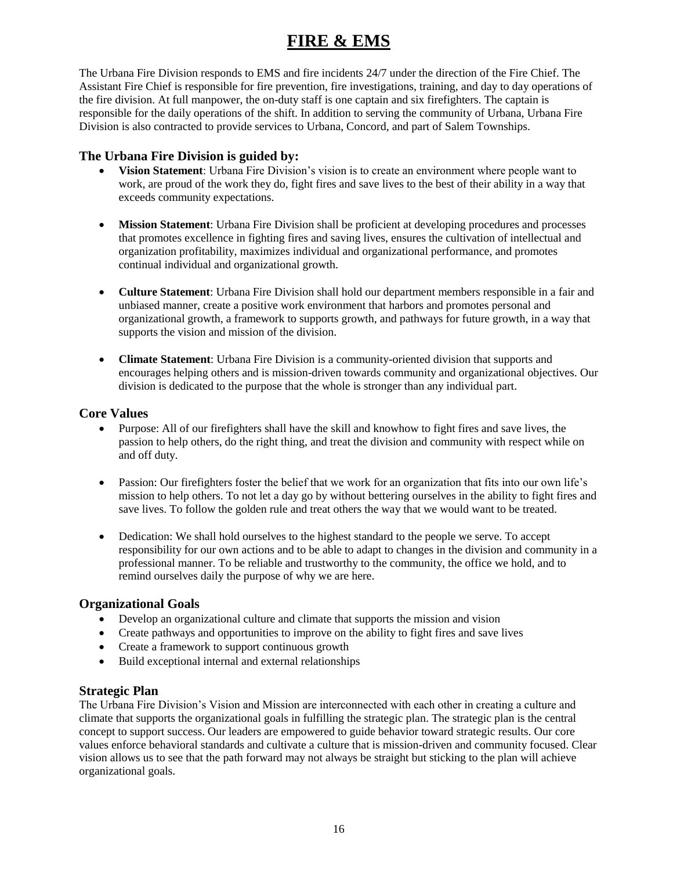# **FIRE & EMS**

The Urbana Fire Division responds to EMS and fire incidents 24/7 under the direction of the Fire Chief. The Assistant Fire Chief is responsible for fire prevention, fire investigations, training, and day to day operations of the fire division. At full manpower, the on-duty staff is one captain and six firefighters. The captain is responsible for the daily operations of the shift. In addition to serving the community of Urbana, Urbana Fire Division is also contracted to provide services to Urbana, Concord, and part of Salem Townships.

## **The Urbana Fire Division is guided by:**

- **Vision Statement**: Urbana Fire Division's vision is to create an environment where people want to work, are proud of the work they do, fight fires and save lives to the best of their ability in a way that exceeds community expectations.
- **Mission Statement**: Urbana Fire Division shall be proficient at developing procedures and processes that promotes excellence in fighting fires and saving lives, ensures the cultivation of intellectual and organization profitability, maximizes individual and organizational performance, and promotes continual individual and organizational growth.
- **Culture Statement**: Urbana Fire Division shall hold our department members responsible in a fair and unbiased manner, create a positive work environment that harbors and promotes personal and organizational growth, a framework to supports growth, and pathways for future growth, in a way that supports the vision and mission of the division.
- **Climate Statement**: Urbana Fire Division is a community-oriented division that supports and encourages helping others and is mission-driven towards community and organizational objectives. Our division is dedicated to the purpose that the whole is stronger than any individual part.

## **Core Values**

- Purpose: All of our firefighters shall have the skill and knowhow to fight fires and save lives, the passion to help others, do the right thing, and treat the division and community with respect while on and off duty.
- Passion: Our firefighters foster the belief that we work for an organization that fits into our own life's mission to help others. To not let a day go by without bettering ourselves in the ability to fight fires and save lives. To follow the golden rule and treat others the way that we would want to be treated.
- Dedication: We shall hold ourselves to the highest standard to the people we serve. To accept responsibility for our own actions and to be able to adapt to changes in the division and community in a professional manner. To be reliable and trustworthy to the community, the office we hold, and to remind ourselves daily the purpose of why we are here.

## **Organizational Goals**

- Develop an organizational culture and climate that supports the mission and vision
- Create pathways and opportunities to improve on the ability to fight fires and save lives
- Create a framework to support continuous growth
- Build exceptional internal and external relationships

#### **Strategic Plan**

The Urbana Fire Division's Vision and Mission are interconnected with each other in creating a culture and climate that supports the organizational goals in fulfilling the strategic plan. The strategic plan is the central concept to support success. Our leaders are empowered to guide behavior toward strategic results. Our core values enforce behavioral standards and cultivate a culture that is mission-driven and community focused. Clear vision allows us to see that the path forward may not always be straight but sticking to the plan will achieve organizational goals.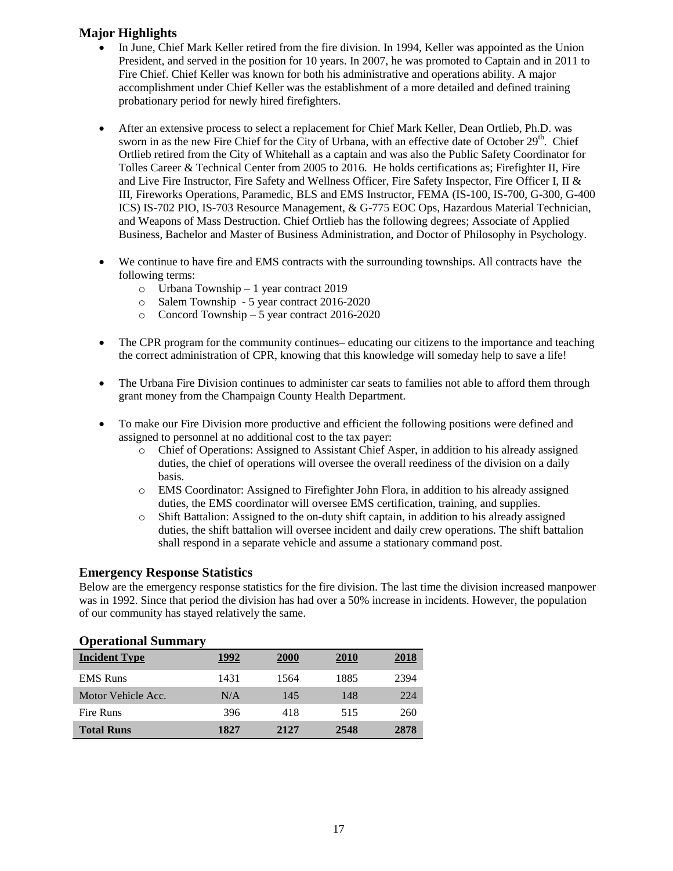## **Major Highlights**

- In June, Chief Mark Keller retired from the fire division. In 1994, Keller was appointed as the Union President, and served in the position for 10 years. In 2007, he was promoted to Captain and in 2011 to Fire Chief. Chief Keller was known for both his administrative and operations ability. A major accomplishment under Chief Keller was the establishment of a more detailed and defined training probationary period for newly hired firefighters.
- After an extensive process to select a replacement for Chief Mark Keller, Dean Ortlieb, Ph.D. was sworn in as the new Fire Chief for the City of Urbana, with an effective date of October 29<sup>th</sup>. Chief Ortlieb retired from the City of Whitehall as a captain and was also the Public Safety Coordinator for Tolles Career & Technical Center from 2005 to 2016. He holds certifications as; Firefighter II, Fire and Live Fire Instructor, Fire Safety and Wellness Officer, Fire Safety Inspector, Fire Officer I, II & III, Fireworks Operations, Paramedic, BLS and EMS Instructor, FEMA (IS-100, IS-700, G-300, G-400 ICS) IS-702 PIO, IS-703 Resource Management, & G-775 EOC Ops, Hazardous Material Technician, and Weapons of Mass Destruction. Chief Ortlieb has the following degrees; Associate of Applied Business, Bachelor and Master of Business Administration, and Doctor of Philosophy in Psychology.
- We continue to have fire and EMS contracts with the surrounding townships. All contracts have the following terms:
	- o Urbana Township 1 year contract 2019
	- o Salem Township 5 year contract 2016-2020
	- o Concord Township 5 year contract 2016-2020
- The CPR program for the community continues– educating our citizens to the importance and teaching the correct administration of CPR, knowing that this knowledge will someday help to save a life!
- The Urbana Fire Division continues to administer car seats to families not able to afford them through grant money from the Champaign County Health Department.
- To make our Fire Division more productive and efficient the following positions were defined and assigned to personnel at no additional cost to the tax payer:
	- o Chief of Operations: Assigned to Assistant Chief Asper, in addition to his already assigned duties, the chief of operations will oversee the overall reediness of the division on a daily basis.
	- o EMS Coordinator: Assigned to Firefighter John Flora, in addition to his already assigned duties, the EMS coordinator will oversee EMS certification, training, and supplies.
	- o Shift Battalion: Assigned to the on-duty shift captain, in addition to his already assigned duties, the shift battalion will oversee incident and daily crew operations. The shift battalion shall respond in a separate vehicle and assume a stationary command post.

#### **Emergency Response Statistics**

Below are the emergency response statistics for the fire division. The last time the division increased manpower was in 1992. Since that period the division has had over a 50% increase in incidents. However, the population of our community has stayed relatively the same.

# **Operational Summary**

| <b>Incident Type</b> | 1992 | 2000 | <b>2010</b> | 2018 |
|----------------------|------|------|-------------|------|
| <b>EMS</b> Runs      | 1431 | 1564 | 1885        | 2394 |
| Motor Vehicle Acc.   | N/A  | 145  | 148         | 224  |
| Fire Runs            | 396  | 418  | 515         | 260  |
| <b>Total Runs</b>    | 1827 | 2127 | 2548        | 2878 |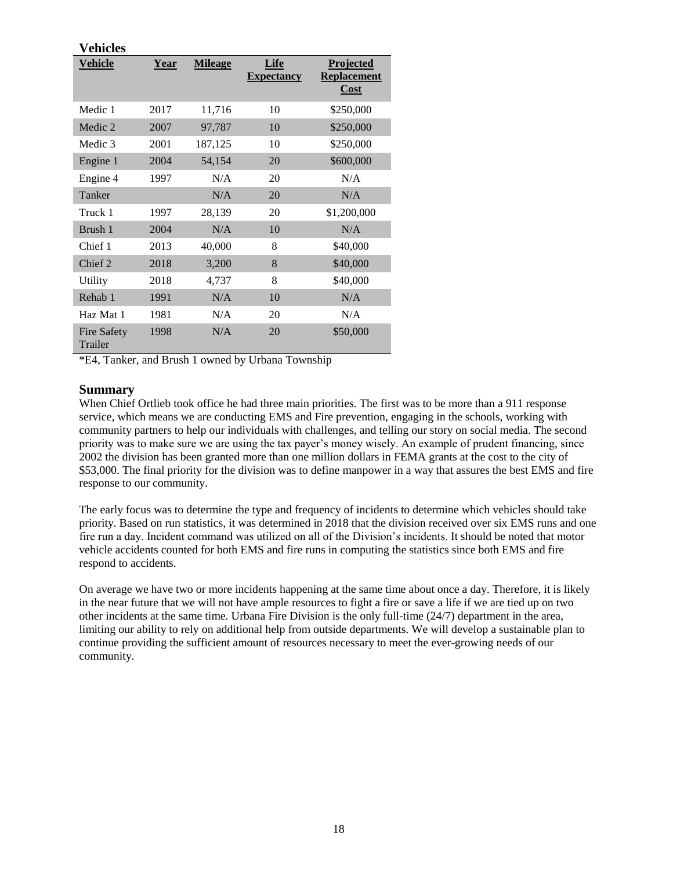| Vehicles                      |             |                |                           |                                         |
|-------------------------------|-------------|----------------|---------------------------|-----------------------------------------|
| <b>Vehicle</b>                | <u>Year</u> | <b>Mileage</b> | Life<br><b>Expectancy</b> | Projected<br><b>Replacement</b><br>Cost |
| Medic 1                       | 2017        | 11,716         | 10                        | \$250,000                               |
| Medic 2                       | 2007        | 97,787         | 10                        | \$250,000                               |
| Medic 3                       | 2001        | 187,125        | 10                        | \$250,000                               |
| Engine 1                      | 2004        | 54,154         | 20                        | \$600,000                               |
| Engine 4                      | 1997        | N/A            | 20                        | N/A                                     |
| Tanker                        |             | N/A            | 20                        | N/A                                     |
| Truck 1                       | 1997        | 28,139         | 20                        | \$1,200,000                             |
| Brush 1                       | 2004        | N/A            | 10                        | N/A                                     |
| Chief 1                       | 2013        | 40,000         | 8                         | \$40,000                                |
| Chief 2                       | 2018        | 3,200          | 8                         | \$40,000                                |
| Utility                       | 2018        | 4,737          | 8                         | \$40,000                                |
| Rehab 1                       | 1991        | N/A            | 10                        | N/A                                     |
| Haz Mat 1                     | 1981        | N/A            | 20                        | N/A                                     |
| <b>Fire Safety</b><br>Trailer | 1998        | N/A            | 20                        | \$50,000                                |

\*E4, Tanker, and Brush 1 owned by Urbana Township

#### **Summary**

When Chief Ortlieb took office he had three main priorities. The first was to be more than a 911 response service, which means we are conducting EMS and Fire prevention, engaging in the schools, working with community partners to help our individuals with challenges, and telling our story on social media. The second priority was to make sure we are using the tax payer's money wisely. An example of prudent financing, since 2002 the division has been granted more than one million dollars in FEMA grants at the cost to the city of \$53,000. The final priority for the division was to define manpower in a way that assures the best EMS and fire response to our community.

The early focus was to determine the type and frequency of incidents to determine which vehicles should take priority. Based on run statistics, it was determined in 2018 that the division received over six EMS runs and one fire run a day. Incident command was utilized on all of the Division's incidents. It should be noted that motor vehicle accidents counted for both EMS and fire runs in computing the statistics since both EMS and fire respond to accidents.

On average we have two or more incidents happening at the same time about once a day. Therefore, it is likely in the near future that we will not have ample resources to fight a fire or save a life if we are tied up on two other incidents at the same time. Urbana Fire Division is the only full-time (24/7) department in the area, limiting our ability to rely on additional help from outside departments. We will develop a sustainable plan to continue providing the sufficient amount of resources necessary to meet the ever-growing needs of our community.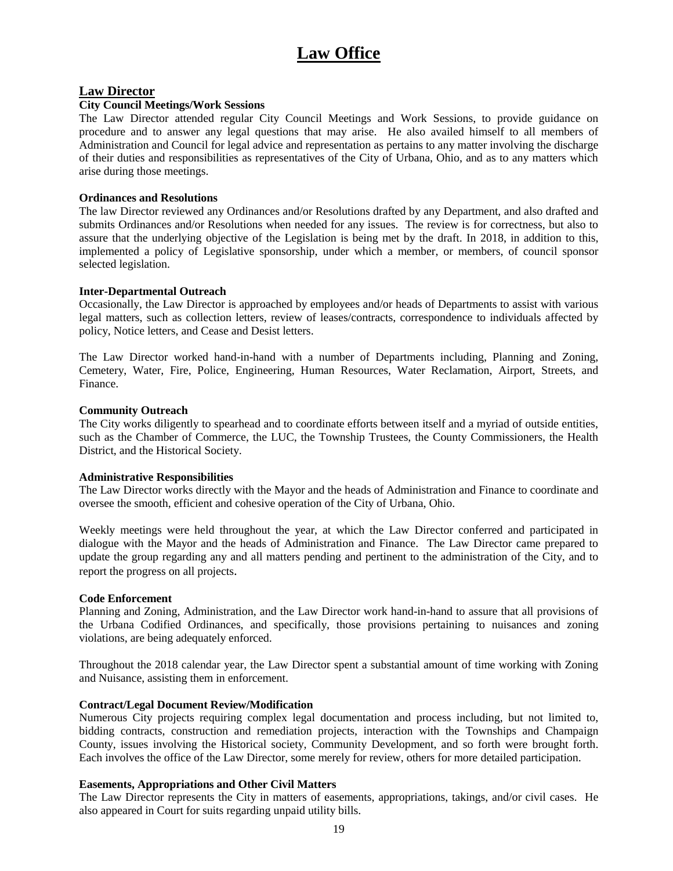## **Law Office**

### **Law Director**

#### **City Council Meetings/Work Sessions**

The Law Director attended regular City Council Meetings and Work Sessions, to provide guidance on procedure and to answer any legal questions that may arise. He also availed himself to all members of Administration and Council for legal advice and representation as pertains to any matter involving the discharge of their duties and responsibilities as representatives of the City of Urbana, Ohio, and as to any matters which arise during those meetings.

#### **Ordinances and Resolutions**

The law Director reviewed any Ordinances and/or Resolutions drafted by any Department, and also drafted and submits Ordinances and/or Resolutions when needed for any issues. The review is for correctness, but also to assure that the underlying objective of the Legislation is being met by the draft. In 2018, in addition to this, implemented a policy of Legislative sponsorship, under which a member, or members, of council sponsor selected legislation.

#### **Inter-Departmental Outreach**

Occasionally, the Law Director is approached by employees and/or heads of Departments to assist with various legal matters, such as collection letters, review of leases/contracts, correspondence to individuals affected by policy, Notice letters, and Cease and Desist letters.

The Law Director worked hand-in-hand with a number of Departments including, Planning and Zoning, Cemetery, Water, Fire, Police, Engineering, Human Resources, Water Reclamation, Airport, Streets, and Finance.

#### **Community Outreach**

The City works diligently to spearhead and to coordinate efforts between itself and a myriad of outside entities, such as the Chamber of Commerce, the LUC, the Township Trustees, the County Commissioners, the Health District, and the Historical Society.

#### **Administrative Responsibilities**

The Law Director works directly with the Mayor and the heads of Administration and Finance to coordinate and oversee the smooth, efficient and cohesive operation of the City of Urbana, Ohio.

Weekly meetings were held throughout the year, at which the Law Director conferred and participated in dialogue with the Mayor and the heads of Administration and Finance. The Law Director came prepared to update the group regarding any and all matters pending and pertinent to the administration of the City, and to report the progress on all projects.

#### **Code Enforcement**

Planning and Zoning, Administration, and the Law Director work hand-in-hand to assure that all provisions of the Urbana Codified Ordinances, and specifically, those provisions pertaining to nuisances and zoning violations, are being adequately enforced.

Throughout the 2018 calendar year, the Law Director spent a substantial amount of time working with Zoning and Nuisance, assisting them in enforcement.

#### **Contract/Legal Document Review/Modification**

Numerous City projects requiring complex legal documentation and process including, but not limited to, bidding contracts, construction and remediation projects, interaction with the Townships and Champaign County, issues involving the Historical society, Community Development, and so forth were brought forth. Each involves the office of the Law Director, some merely for review, others for more detailed participation.

#### **Easements, Appropriations and Other Civil Matters**

The Law Director represents the City in matters of easements, appropriations, takings, and/or civil cases. He also appeared in Court for suits regarding unpaid utility bills.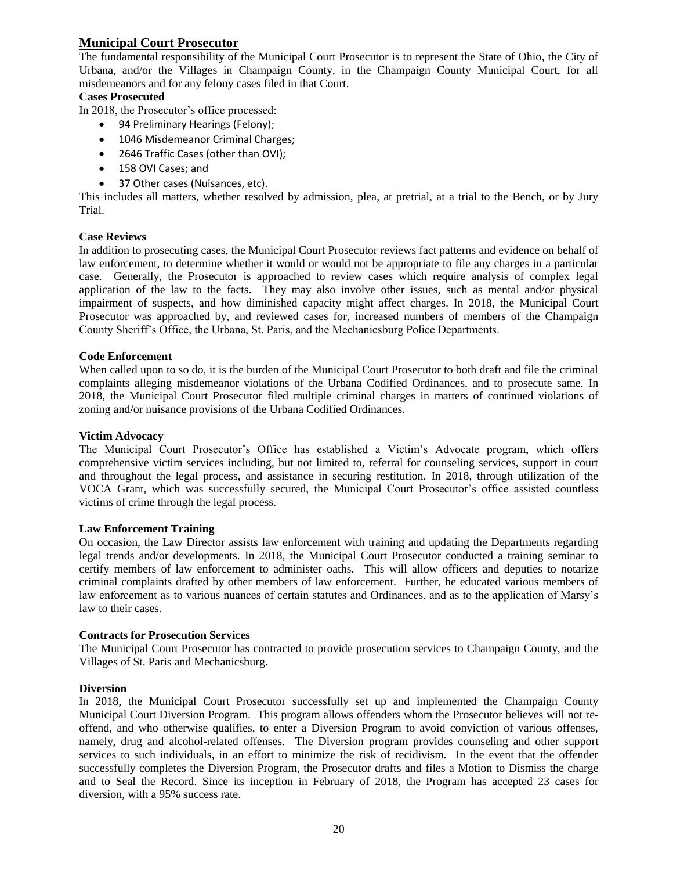## **Municipal Court Prosecutor**

The fundamental responsibility of the Municipal Court Prosecutor is to represent the State of Ohio, the City of Urbana, and/or the Villages in Champaign County, in the Champaign County Municipal Court, for all misdemeanors and for any felony cases filed in that Court.

#### **Cases Prosecuted**

In 2018, the Prosecutor's office processed:

- 94 Preliminary Hearings (Felony);
- 1046 Misdemeanor Criminal Charges;
- 2646 Traffic Cases (other than OVI);
- 158 OVI Cases; and
- 37 Other cases (Nuisances, etc).

This includes all matters, whether resolved by admission, plea, at pretrial, at a trial to the Bench, or by Jury Trial.

#### **Case Reviews**

In addition to prosecuting cases, the Municipal Court Prosecutor reviews fact patterns and evidence on behalf of law enforcement, to determine whether it would or would not be appropriate to file any charges in a particular case. Generally, the Prosecutor is approached to review cases which require analysis of complex legal application of the law to the facts. They may also involve other issues, such as mental and/or physical impairment of suspects, and how diminished capacity might affect charges. In 2018, the Municipal Court Prosecutor was approached by, and reviewed cases for, increased numbers of members of the Champaign County Sheriff's Office, the Urbana, St. Paris, and the Mechanicsburg Police Departments.

#### **Code Enforcement**

When called upon to so do, it is the burden of the Municipal Court Prosecutor to both draft and file the criminal complaints alleging misdemeanor violations of the Urbana Codified Ordinances, and to prosecute same. In 2018, the Municipal Court Prosecutor filed multiple criminal charges in matters of continued violations of zoning and/or nuisance provisions of the Urbana Codified Ordinances.

#### **Victim Advocacy**

The Municipal Court Prosecutor's Office has established a Victim's Advocate program, which offers comprehensive victim services including, but not limited to, referral for counseling services, support in court and throughout the legal process, and assistance in securing restitution. In 2018, through utilization of the VOCA Grant, which was successfully secured, the Municipal Court Prosecutor's office assisted countless victims of crime through the legal process.

#### **Law Enforcement Training**

On occasion, the Law Director assists law enforcement with training and updating the Departments regarding legal trends and/or developments. In 2018, the Municipal Court Prosecutor conducted a training seminar to certify members of law enforcement to administer oaths. This will allow officers and deputies to notarize criminal complaints drafted by other members of law enforcement. Further, he educated various members of law enforcement as to various nuances of certain statutes and Ordinances, and as to the application of Marsy's law to their cases.

#### **Contracts for Prosecution Services**

The Municipal Court Prosecutor has contracted to provide prosecution services to Champaign County, and the Villages of St. Paris and Mechanicsburg.

#### **Diversion**

In 2018, the Municipal Court Prosecutor successfully set up and implemented the Champaign County Municipal Court Diversion Program. This program allows offenders whom the Prosecutor believes will not reoffend, and who otherwise qualifies, to enter a Diversion Program to avoid conviction of various offenses, namely, drug and alcohol-related offenses. The Diversion program provides counseling and other support services to such individuals, in an effort to minimize the risk of recidivism. In the event that the offender successfully completes the Diversion Program, the Prosecutor drafts and files a Motion to Dismiss the charge and to Seal the Record. Since its inception in February of 2018, the Program has accepted 23 cases for diversion, with a 95% success rate.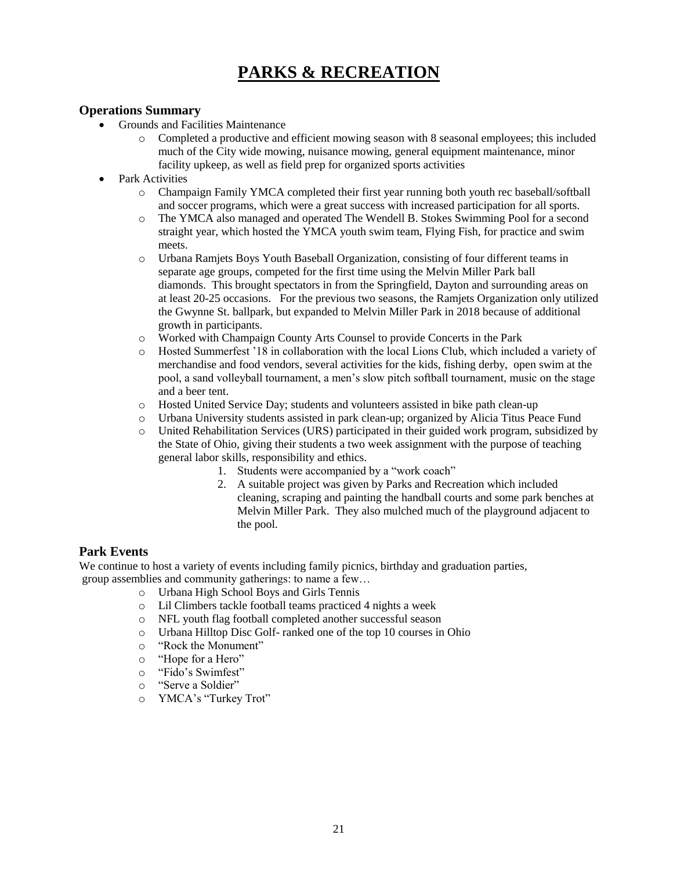## **PARKS & RECREATION**

### **Operations Summary**

- Grounds and Facilities Maintenance
	- o Completed a productive and efficient mowing season with 8 seasonal employees; this included much of the City wide mowing, nuisance mowing, general equipment maintenance, minor facility upkeep, as well as field prep for organized sports activities
- Park Activities
	- o Champaign Family YMCA completed their first year running both youth rec baseball/softball and soccer programs, which were a great success with increased participation for all sports.
	- o The YMCA also managed and operated The Wendell B. Stokes Swimming Pool for a second straight year, which hosted the YMCA youth swim team, Flying Fish, for practice and swim meets.
	- o Urbana Ramjets Boys Youth Baseball Organization, consisting of four different teams in separate age groups, competed for the first time using the Melvin Miller Park ball diamonds. This brought spectators in from the Springfield, Dayton and surrounding areas on at least 20-25 occasions. For the previous two seasons, the Ramjets Organization only utilized the Gwynne St. ballpark, but expanded to Melvin Miller Park in 2018 because of additional growth in participants.
	- o Worked with Champaign County Arts Counsel to provide Concerts in the Park
	- o Hosted Summerfest '18 in collaboration with the local Lions Club, which included a variety of merchandise and food vendors, several activities for the kids, fishing derby, open swim at the pool, a sand volleyball tournament, a men's slow pitch softball tournament, music on the stage and a beer tent.
	- o Hosted United Service Day; students and volunteers assisted in bike path clean-up
	- o Urbana University students assisted in park clean-up; organized by Alicia Titus Peace Fund
	- o United Rehabilitation Services (URS) participated in their guided work program, subsidized by the State of Ohio, giving their students a two week assignment with the purpose of teaching general labor skills, responsibility and ethics.
		- 1. Students were accompanied by a "work coach"
		- 2. A suitable project was given by Parks and Recreation which included cleaning, scraping and painting the handball courts and some park benches at Melvin Miller Park. They also mulched much of the playground adjacent to the pool.

## **Park Events**

We continue to host a variety of events including family picnics, birthday and graduation parties, group assemblies and community gatherings: to name a few…

- o Urbana High School Boys and Girls Tennis
	- o Lil Climbers tackle football teams practiced 4 nights a week
	- o NFL youth flag football completed another successful season
	- o Urbana Hilltop Disc Golf- ranked one of the top 10 courses in Ohio
	- o "Rock the Monument"
	- o "Hope for a Hero"
	- o "Fido's Swimfest"
- o "Serve a Soldier"
- o YMCA's "Turkey Trot"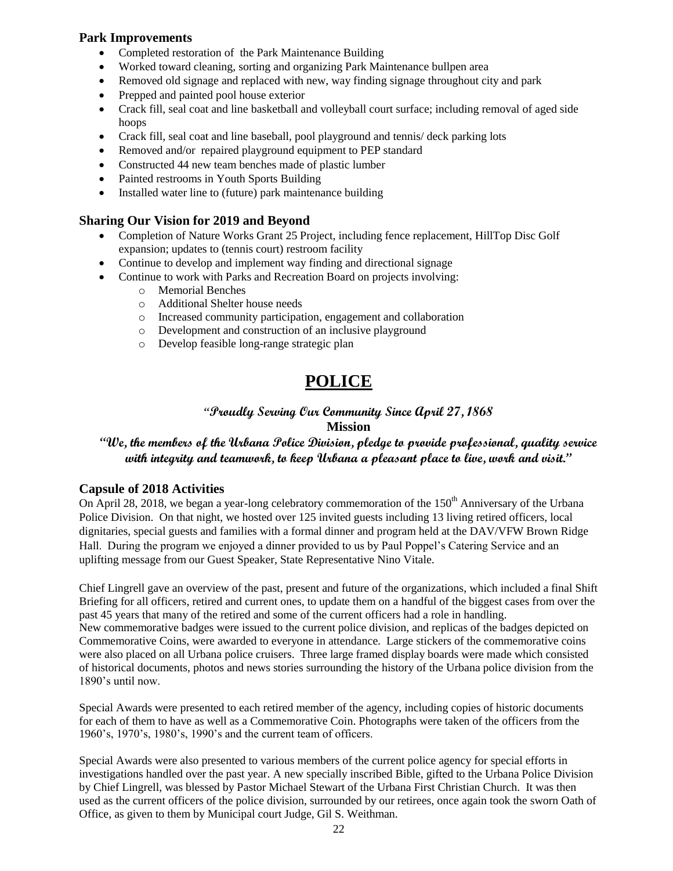#### **Park Improvements**

- Completed restoration of the Park Maintenance Building
- Worked toward cleaning, sorting and organizing Park Maintenance bullpen area
- Removed old signage and replaced with new, way finding signage throughout city and park
- Prepped and painted pool house exterior
- Crack fill, seal coat and line basketball and volleyball court surface; including removal of aged side hoops
- Crack fill, seal coat and line baseball, pool playground and tennis/ deck parking lots
- Removed and/or repaired playground equipment to PEP standard
- Constructed 44 new team benches made of plastic lumber
- Painted restrooms in Youth Sports Building
- Installed water line to (future) park maintenance building

#### **Sharing Our Vision for 2019 and Beyond**

- Completion of Nature Works Grant 25 Project, including fence replacement, HillTop Disc Golf expansion; updates to (tennis court) restroom facility
- Continue to develop and implement way finding and directional signage
- Continue to work with Parks and Recreation Board on projects involving:
	- o Memorial Benches
	- o Additional Shelter house needs
	- o Increased community participation, engagement and collaboration
	- o Development and construction of an inclusive playground
	- o Develop feasible long-range strategic plan

## **POLICE**

### **"Proudly Serving Our Community Since April 27, 1868**

#### **Mission**

## **"We, the members of the Urbana Police Division, pledge to provide professional, quality service with integrity and teamwork, to keep Urbana a pleasant place to live, work and visit."**

#### **Capsule of 2018 Activities**

On April 28, 2018, we began a year-long celebratory commemoration of the 150<sup>th</sup> Anniversary of the Urbana Police Division. On that night, we hosted over 125 invited guests including 13 living retired officers, local dignitaries, special guests and families with a formal dinner and program held at the DAV/VFW Brown Ridge Hall. During the program we enjoyed a dinner provided to us by Paul Poppel's Catering Service and an uplifting message from our Guest Speaker, State Representative Nino Vitale.

Chief Lingrell gave an overview of the past, present and future of the organizations, which included a final Shift Briefing for all officers, retired and current ones, to update them on a handful of the biggest cases from over the past 45 years that many of the retired and some of the current officers had a role in handling. New commemorative badges were issued to the current police division, and replicas of the badges depicted on Commemorative Coins, were awarded to everyone in attendance. Large stickers of the commemorative coins were also placed on all Urbana police cruisers. Three large framed display boards were made which consisted of historical documents, photos and news stories surrounding the history of the Urbana police division from the 1890's until now.

Special Awards were presented to each retired member of the agency, including copies of historic documents for each of them to have as well as a Commemorative Coin. Photographs were taken of the officers from the 1960's, 1970's, 1980's, 1990's and the current team of officers.

Special Awards were also presented to various members of the current police agency for special efforts in investigations handled over the past year. A new specially inscribed Bible, gifted to the Urbana Police Division by Chief Lingrell, was blessed by Pastor Michael Stewart of the Urbana First Christian Church. It was then used as the current officers of the police division, surrounded by our retirees, once again took the sworn Oath of Office, as given to them by Municipal court Judge, Gil S. Weithman.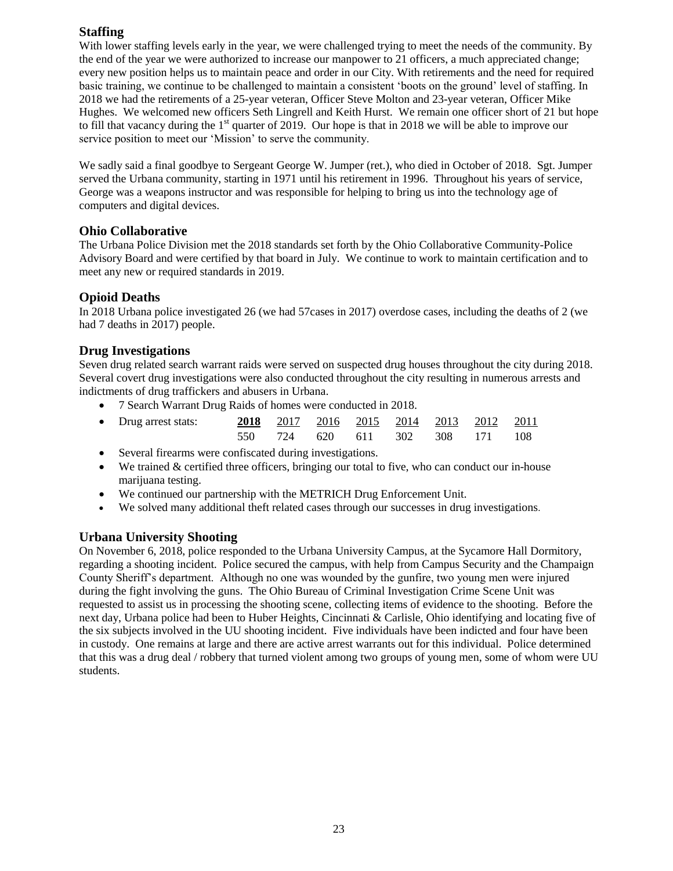## **Staffing**

With lower staffing levels early in the year, we were challenged trying to meet the needs of the community. By the end of the year we were authorized to increase our manpower to 21 officers, a much appreciated change; every new position helps us to maintain peace and order in our City. With retirements and the need for required basic training, we continue to be challenged to maintain a consistent 'boots on the ground' level of staffing. In 2018 we had the retirements of a 25-year veteran, Officer Steve Molton and 23-year veteran, Officer Mike Hughes. We welcomed new officers Seth Lingrell and Keith Hurst. We remain one officer short of 21 but hope to fill that vacancy during the  $1<sup>st</sup>$  quarter of 2019. Our hope is that in 2018 we will be able to improve our service position to meet our 'Mission' to serve the community.

We sadly said a final goodbye to Sergeant George W. Jumper (ret.), who died in October of 2018. Sgt. Jumper served the Urbana community, starting in 1971 until his retirement in 1996. Throughout his years of service, George was a weapons instructor and was responsible for helping to bring us into the technology age of computers and digital devices.

## **Ohio Collaborative**

The Urbana Police Division met the 2018 standards set forth by the Ohio Collaborative Community-Police Advisory Board and were certified by that board in July. We continue to work to maintain certification and to meet any new or required standards in 2019.

## **Opioid Deaths**

In 2018 Urbana police investigated 26 (we had 57cases in 2017) overdose cases, including the deaths of 2 (we had 7 deaths in 2017) people.

## **Drug Investigations**

Seven drug related search warrant raids were served on suspected drug houses throughout the city during 2018. Several covert drug investigations were also conducted throughout the city resulting in numerous arrests and indictments of drug traffickers and abusers in Urbana.

- 7 Search Warrant Drug Raids of homes were conducted in 2018.
- Drug arrest stats: **2018** 2017 2016 2015 2014 2013 2012 2011 550 724 620 611 302 308 171 108
- Several firearms were confiscated during investigations.
- We trained & certified three officers, bringing our total to five, who can conduct our in-house marijuana testing.
- We continued our partnership with the METRICH Drug Enforcement Unit.
- We solved many additional theft related cases through our successes in drug investigations.

## **Urbana University Shooting**

On November 6, 2018, police responded to the Urbana University Campus, at the Sycamore Hall Dormitory, regarding a shooting incident. Police secured the campus, with help from Campus Security and the Champaign County Sheriff's department. Although no one was wounded by the gunfire, two young men were injured during the fight involving the guns. The Ohio Bureau of Criminal Investigation Crime Scene Unit was requested to assist us in processing the shooting scene, collecting items of evidence to the shooting. Before the next day, Urbana police had been to Huber Heights, Cincinnati & Carlisle, Ohio identifying and locating five of the six subjects involved in the UU shooting incident. Five individuals have been indicted and four have been in custody. One remains at large and there are active arrest warrants out for this individual. Police determined that this was a drug deal / robbery that turned violent among two groups of young men, some of whom were UU students.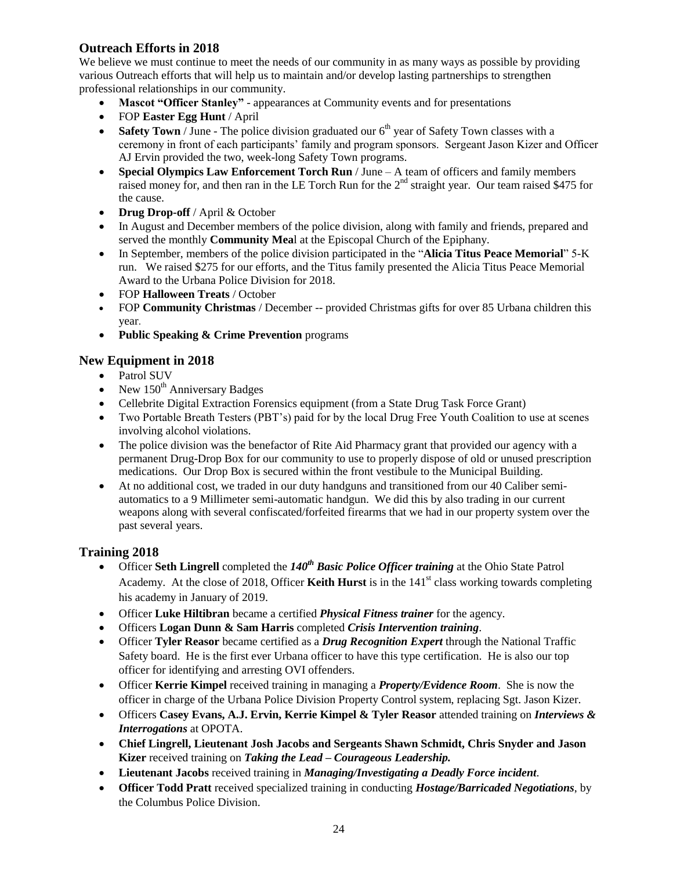## **Outreach Efforts in 2018**

We believe we must continue to meet the needs of our community in as many ways as possible by providing various Outreach efforts that will help us to maintain and/or develop lasting partnerships to strengthen professional relationships in our community.

- **Mascot "Officer Stanley"** appearances at Community events and for presentations
- FOP **Easter Egg Hunt** / April
- **Safety Town** / June The police division graduated our  $6<sup>th</sup>$  year of Safety Town classes with a ceremony in front of each participants' family and program sponsors. Sergeant Jason Kizer and Officer AJ Ervin provided the two, week-long Safety Town programs.
- **Special Olympics Law Enforcement Torch Run** / June A team of officers and family members raised money for, and then ran in the LE Torch Run for the  $2<sup>nd</sup>$  straight year. Our team raised \$475 for the cause.
- **Drug Drop-off** / April & October
- In August and December members of the police division, along with family and friends, prepared and served the monthly **Community Mea**l at the Episcopal Church of the Epiphany.
- In September, members of the police division participated in the "**Alicia Titus Peace Memorial**" 5-K run. We raised \$275 for our efforts, and the Titus family presented the Alicia Titus Peace Memorial Award to the Urbana Police Division for 2018.
- FOP **Halloween Treats** / October
- FOP **Community Christmas** / December -- provided Christmas gifts for over 85 Urbana children this year.
- **Public Speaking & Crime Prevention** programs

## **New Equipment in 2018**

- Patrol SUV
- New  $150^{th}$  Anniversary Badges
- Cellebrite Digital Extraction Forensics equipment (from a State Drug Task Force Grant)
- Two Portable Breath Testers (PBT's) paid for by the local Drug Free Youth Coalition to use at scenes involving alcohol violations.
- The police division was the benefactor of Rite Aid Pharmacy grant that provided our agency with a permanent Drug-Drop Box for our community to use to properly dispose of old or unused prescription medications. Our Drop Box is secured within the front vestibule to the Municipal Building.
- At no additional cost, we traded in our duty handguns and transitioned from our 40 Caliber semiautomatics to a 9 Millimeter semi-automatic handgun. We did this by also trading in our current weapons along with several confiscated/forfeited firearms that we had in our property system over the past several years.

## **Training 2018**

- Officer **Seth Lingrell** completed the *140th Basic Police Officer training* at the Ohio State Patrol Academy. At the close of 2018, Officer **Keith Hurst** is in the 141<sup>st</sup> class working towards completing his academy in January of 2019.
- Officer **Luke Hiltibran** became a certified *Physical Fitness trainer* for the agency.
- Officers **Logan Dunn & Sam Harris** completed *Crisis Intervention training*.
- Officer **Tyler Reasor** became certified as a *Drug Recognition Expert* through the National Traffic Safety board. He is the first ever Urbana officer to have this type certification. He is also our top officer for identifying and arresting OVI offenders.
- Officer **Kerrie Kimpel** received training in managing a *Property/Evidence Room*. She is now the officer in charge of the Urbana Police Division Property Control system, replacing Sgt. Jason Kizer.
- Officers **Casey Evans, A.J. Ervin, Kerrie Kimpel & Tyler Reasor** attended training on *Interviews & Interrogations* at OPOTA.
- **Chief Lingrell, Lieutenant Josh Jacobs and Sergeants Shawn Schmidt, Chris Snyder and Jason Kizer** received training on *Taking the Lead – Courageous Leadership.*
- **Lieutenant Jacobs** received training in *Managing/Investigating a Deadly Force incident*.
- **Officer Todd Pratt** received specialized training in conducting *Hostage/Barricaded Negotiations*, by the Columbus Police Division.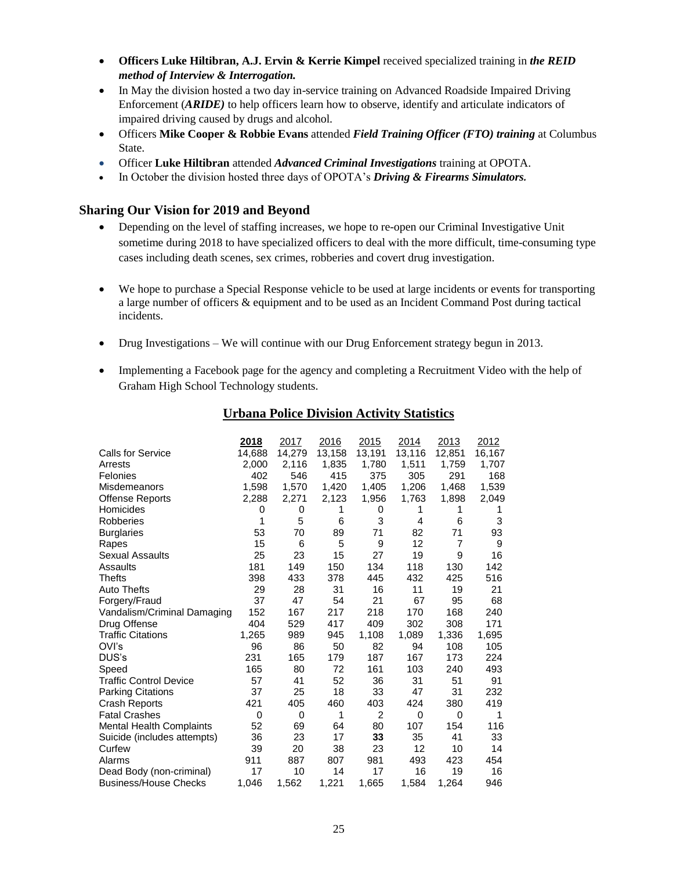- **Officers Luke Hiltibran, A.J. Ervin & Kerrie Kimpel** received specialized training in *the REID method of Interview & Interrogation.*
- In May the division hosted a two day in-service training on Advanced Roadside Impaired Driving Enforcement (*ARIDE)* to help officers learn how to observe, identify and articulate indicators of impaired driving caused by drugs and alcohol.
- Officers **Mike Cooper & Robbie Evans** attended *Field Training Officer (FTO) training* at Columbus State.
- Officer **Luke Hiltibran** attended *Advanced Criminal Investigations* training at OPOTA.
- In October the division hosted three days of OPOTA's *Driving & Firearms Simulators.*

## **Sharing Our Vision for 2019 and Beyond**

- Depending on the level of staffing increases, we hope to re-open our Criminal Investigative Unit sometime during 2018 to have specialized officers to deal with the more difficult, time-consuming type cases including death scenes, sex crimes, robberies and covert drug investigation.
- We hope to purchase a Special Response vehicle to be used at large incidents or events for transporting a large number of officers & equipment and to be used as an Incident Command Post during tactical incidents.
- Drug Investigations We will continue with our Drug Enforcement strategy begun in 2013.
- Implementing a Facebook page for the agency and completing a Recruitment Video with the help of Graham High School Technology students.

|                               | 2018   | 2017   | 2016   | 2015           | 2014   | 2013   | 2012   |
|-------------------------------|--------|--------|--------|----------------|--------|--------|--------|
| <b>Calls for Service</b>      | 14,688 | 14,279 | 13,158 | 13,191         | 13,116 | 12,851 | 16,167 |
| Arrests                       | 2,000  | 2,116  | 1,835  | 1,780          | 1,511  | 1,759  | 1,707  |
| Felonies                      | 402    | 546    | 415    | 375            | 305    | 291    | 168    |
| Misdemeanors                  | 1,598  | 1,570  | 1,420  | 1,405          | 1,206  | 1,468  | 1,539  |
| <b>Offense Reports</b>        | 2,288  | 2,271  | 2,123  | 1,956          | 1,763  | 1,898  | 2,049  |
| Homicides                     | 0      | 0      | 1      | 0              | 1      | 1      | 1      |
| Robberies                     | 1      | 5      | 6      | 3              | 4      | 6      | 3      |
| <b>Burglaries</b>             | 53     | 70     | 89     | 71             | 82     | 71     | 93     |
| Rapes                         | 15     | 6      | 5      | 9              | 12     | 7      | 9      |
| <b>Sexual Assaults</b>        | 25     | 23     | 15     | 27             | 19     | 9      | 16     |
| Assaults                      | 181    | 149    | 150    | 134            | 118    | 130    | 142    |
| Thefts                        | 398    | 433    | 378    | 445            | 432    | 425    | 516    |
| <b>Auto Thefts</b>            | 29     | 28     | 31     | 16             | 11     | 19     | 21     |
| Forgery/Fraud                 | 37     | 47     | 54     | 21             | 67     | 95     | 68     |
| Vandalism/Criminal Damaging   | 152    | 167    | 217    | 218            | 170    | 168    | 240    |
| Drug Offense                  | 404    | 529    | 417    | 409            | 302    | 308    | 171    |
| <b>Traffic Citations</b>      | 1,265  | 989    | 945    | 1,108          | 1,089  | 1,336  | 1,695  |
| OVI's                         | 96     | 86     | 50     | 82             | 94     | 108    | 105    |
| DUS's                         | 231    | 165    | 179    | 187            | 167    | 173    | 224    |
| Speed                         | 165    | 80     | 72     | 161            | 103    | 240    | 493    |
| <b>Traffic Control Device</b> | 57     | 41     | 52     | 36             | 31     | 51     | 91     |
| <b>Parking Citations</b>      | 37     | 25     | 18     | 33             | 47     | 31     | 232    |
| <b>Crash Reports</b>          | 421    | 405    | 460    | 403            | 424    | 380    | 419    |
| <b>Fatal Crashes</b>          | 0      | 0      | 1      | $\overline{2}$ | 0      | 0      | 1      |
| Mental Health Complaints      | 52     | 69     | 64     | 80             | 107    | 154    | 116    |
| Suicide (includes attempts)   | 36     | 23     | 17     | 33             | 35     | 41     | 33     |
| Curfew                        | 39     | 20     | 38     | 23             | 12     | 10     | 14     |
| Alarms                        | 911    | 887    | 807    | 981            | 493    | 423    | 454    |
| Dead Body (non-criminal)      | 17     | 10     | 14     | 17             | 16     | 19     | 16     |
| <b>Business/House Checks</b>  | 1,046  | 1,562  | 1,221  | 1,665          | 1,584  | 1,264  | 946    |

### **Urbana Police Division Activity Statistics**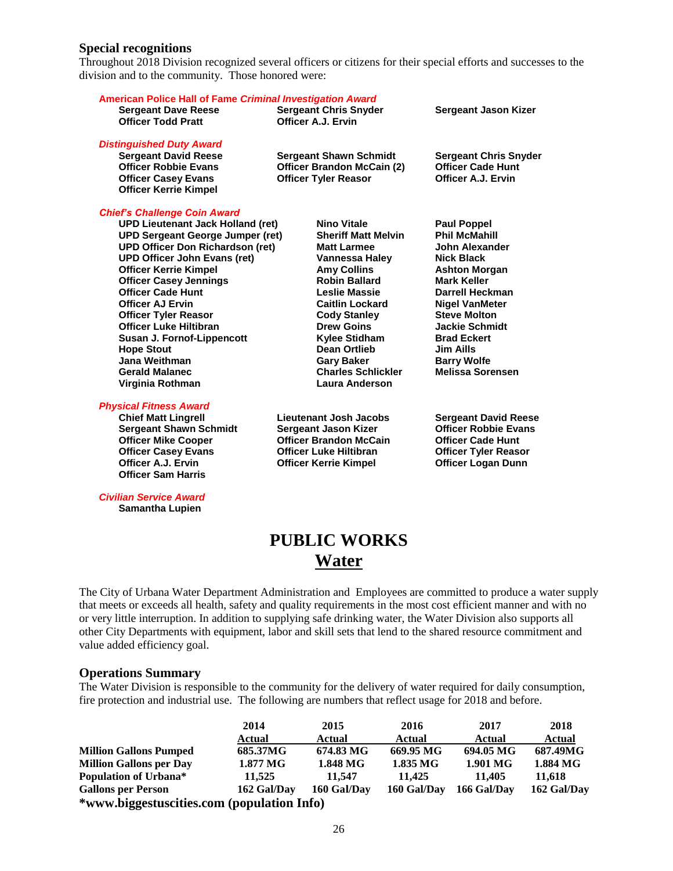#### **Special recognitions**

Throughout 2018 Division recognized several officers or citizens for their special efforts and successes to the division and to the community. Those honored were:

| <b>American Police Hall of Fame Criminal Investigation Award</b> |                    |                                   |                              |  |  |
|------------------------------------------------------------------|--------------------|-----------------------------------|------------------------------|--|--|
| <b>Sergeant Dave Reese</b>                                       |                    | <b>Sergeant Chris Snyder</b>      | Sergeant Jason Kizer         |  |  |
| <b>Officer Todd Pratt</b>                                        | Officer A.J. Ervin |                                   |                              |  |  |
| <b>Distinguished Duty Award</b>                                  |                    |                                   |                              |  |  |
| <b>Sergeant David Reese</b>                                      |                    | <b>Sergeant Shawn Schmidt</b>     | <b>Sergeant Chris Snyder</b> |  |  |
| <b>Officer Robbie Evans</b>                                      |                    | <b>Officer Brandon McCain (2)</b> | <b>Officer Cade Hunt</b>     |  |  |
| <b>Officer Casey Evans</b>                                       |                    | <b>Officer Tyler Reasor</b>       | <b>Officer A.J. Ervin</b>    |  |  |
| <b>Officer Kerrie Kimpel</b>                                     |                    |                                   |                              |  |  |
| <b>Chief's Challenge Coin Award</b>                              |                    |                                   |                              |  |  |
| <b>UPD Lieutenant Jack Holland (ret)</b>                         |                    | Nino Vitale                       | <b>Paul Poppel</b>           |  |  |
| <b>UPD Sergeant George Jumper (ret)</b>                          |                    | <b>Sheriff Matt Melvin</b>        | <b>Phil McMahill</b>         |  |  |
| <b>UPD Officer Don Richardson (ret)</b>                          |                    | <b>Matt Larmee</b>                | John Alexander               |  |  |
| <b>UPD Officer John Evans (ret)</b>                              |                    | <b>Vannessa Haley</b>             | <b>Nick Black</b>            |  |  |
| <b>Officer Kerrie Kimpel</b>                                     |                    | <b>Amy Collins</b>                | <b>Ashton Morgan</b>         |  |  |
| <b>Officer Casey Jennings</b>                                    |                    | <b>Robin Ballard</b>              | <b>Mark Keller</b>           |  |  |
| <b>Officer Cade Hunt</b>                                         |                    | Leslie Massie                     | Darrell Heckman              |  |  |
| <b>Officer AJ Ervin</b>                                          |                    | <b>Caitlin Lockard</b>            | <b>Nigel VanMeter</b>        |  |  |
| <b>Officer Tyler Reasor</b>                                      |                    | <b>Cody Stanley</b>               | <b>Steve Molton</b>          |  |  |
| <b>Officer Luke Hiltibran</b>                                    |                    | <b>Drew Goins</b>                 | <b>Jackie Schmidt</b>        |  |  |
| Susan J. Fornof-Lippencott                                       |                    | Kylee Stidham                     | <b>Brad Eckert</b>           |  |  |
| <b>Hope Stout</b>                                                |                    | <b>Dean Ortlieb</b>               | <b>Jim Aills</b>             |  |  |
| Jana Weithman                                                    |                    | <b>Gary Baker</b>                 | <b>Barry Wolfe</b>           |  |  |
| <b>Gerald Malanec</b>                                            |                    | <b>Charles Schlickler</b>         | <b>Melissa Sorensen</b>      |  |  |
| Virginia Rothman                                                 |                    | <b>Laura Anderson</b>             |                              |  |  |
| <b>Physical Fitness Award</b>                                    |                    |                                   |                              |  |  |
| <b>Chief Matt Lingrell</b>                                       |                    | Lieutenant Josh Jacobs            | <b>Sergeant David Reese</b>  |  |  |
| <b>Sergeant Shawn Schmidt</b>                                    |                    | <b>Sergeant Jason Kizer</b>       | <b>Officer Robbie Evans</b>  |  |  |
| <b>Officer Mike Cooper</b>                                       |                    | <b>Officer Brandon McCain</b>     | <b>Officer Cade Hunt</b>     |  |  |
| <b>Officer Casev Evans</b>                                       |                    | <b>Officer Luke Hiltibran</b>     | <b>Officer Tyler Reasor</b>  |  |  |

## **PUBLIC WORKS Water**

**Officer A.J. Ervin Officer Kerrie Kimpel Officer Logan Dunn**

The City of Urbana Water Department Administration and Employees are committed to produce a water supply that meets or exceeds all health, safety and quality requirements in the most cost efficient manner and with no or very little interruption. In addition to supplying safe drinking water, the Water Division also supports all other City Departments with equipment, labor and skill sets that lend to the shared resource commitment and value added efficiency goal.

#### **Operations Summary**

**Officer Sam Harris**

*Civilian Service Award* **Samantha Lupien**

The Water Division is responsible to the community for the delivery of water required for daily consumption, fire protection and industrial use. The following are numbers that reflect usage for 2018 and before.

|                                            | 2014                  | 2015        | 2016        | 2017        | 2018          |  |
|--------------------------------------------|-----------------------|-------------|-------------|-------------|---------------|--|
|                                            | Actual                | Actual      | Actual      | Actual      | <b>Actual</b> |  |
| <b>Million Gallons Pumped</b>              | 685.37MG              | 674.83 MG   | 669.95 MG   | 694.05 MG   | 687.49MG      |  |
| <b>Million Gallons per Day</b>             | $1.877 \,\mathrm{MG}$ | 1.848 MG    | 1.835 MG    | 1.901 MG    | 1.884 MG      |  |
| <b>Population of Urbana*</b>               | 11.525                | 11.547      | 11.425      | 11.405      | 11.618        |  |
| <b>Gallons per Person</b>                  | 162 Gal/Day           | 160 Gal/Day | 160 Gal/Day | 166 Gal/Day | 162 Gal/Day   |  |
| *www.biggestuscities.com (population Info) |                       |             |             |             |               |  |

26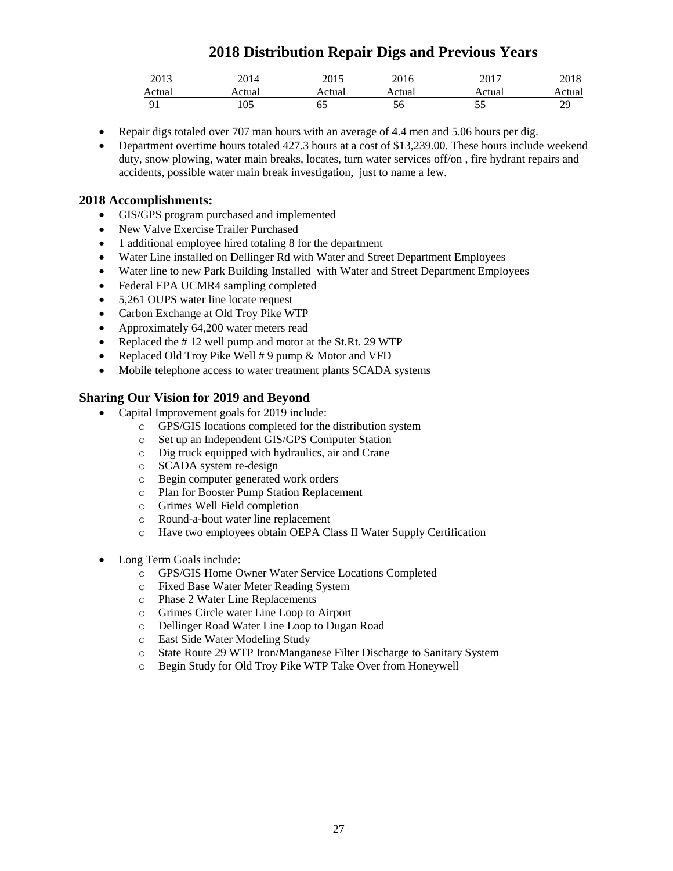## **2018 Distribution Repair Digs and Previous Years**

| 2013 | 2014<br>--- -   | 2015          | 2016 | 2017  | 2018       |
|------|-----------------|---------------|------|-------|------------|
|      | A etua.         | $\alpha$ tija | ctua | ctua. | ctual      |
| . .  | $\Omega$<br>LUJ | ບຸ            | Эb   | ◡     | ົາເ<br>. . |

- Repair digs totaled over 707 man hours with an average of 4.4 men and 5.06 hours per dig.
- Department overtime hours totaled 427.3 hours at a cost of \$13,239.00. These hours include weekend duty, snow plowing, water main breaks, locates, turn water services off/on , fire hydrant repairs and accidents, possible water main break investigation, just to name a few.

#### **2018 Accomplishments:**

- GIS/GPS program purchased and implemented
- New Valve Exercise Trailer Purchased
- 1 additional employee hired totaling 8 for the department
- Water Line installed on Dellinger Rd with Water and Street Department Employees
- Water line to new Park Building Installed with Water and Street Department Employees
- Federal EPA UCMR4 sampling completed
- 5,261 OUPS water line locate request
- Carbon Exchange at Old Troy Pike WTP
- Approximately 64,200 water meters read
- Replaced the  $\# 12$  well pump and motor at the St.Rt. 29 WTP
- Replaced Old Troy Pike Well # 9 pump & Motor and VFD
- Mobile telephone access to water treatment plants SCADA systems

#### **Sharing Our Vision for 2019 and Beyond**

- Capital Improvement goals for 2019 include:
	- o GPS/GIS locations completed for the distribution system
	- o Set up an Independent GIS/GPS Computer Station
	- o Dig truck equipped with hydraulics, air and Crane
	- o SCADA system re-design
	- o Begin computer generated work orders
	- o Plan for Booster Pump Station Replacement
	- o Grimes Well Field completion
	- o Round-a-bout water line replacement
	- o Have two employees obtain OEPA Class II Water Supply Certification
- Long Term Goals include:
	- o GPS/GIS Home Owner Water Service Locations Completed
	- o Fixed Base Water Meter Reading System
	- o Phase 2 Water Line Replacements
	- o Grimes Circle water Line Loop to Airport
	- o Dellinger Road Water Line Loop to Dugan Road
	- o East Side Water Modeling Study
	- o State Route 29 WTP Iron/Manganese Filter Discharge to Sanitary System
	- o Begin Study for Old Troy Pike WTP Take Over from Honeywell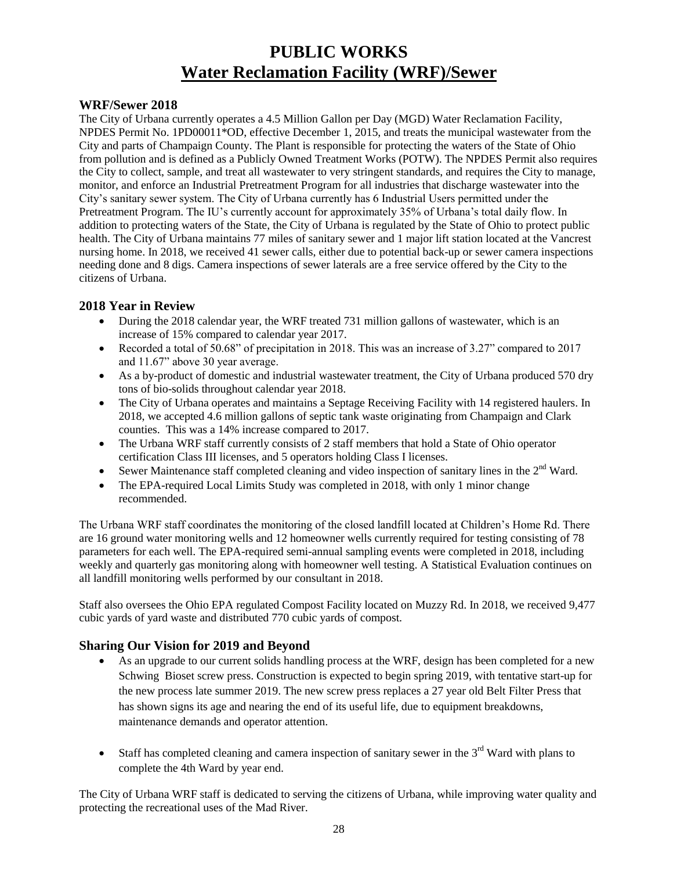## **PUBLIC WORKS Water Reclamation Facility (WRF)/Sewer**

#### **WRF/Sewer 2018**

The City of Urbana currently operates a 4.5 Million Gallon per Day (MGD) Water Reclamation Facility, NPDES Permit No. 1PD00011\*OD, effective December 1, 2015, and treats the municipal wastewater from the City and parts of Champaign County. The Plant is responsible for protecting the waters of the State of Ohio from pollution and is defined as a Publicly Owned Treatment Works (POTW). The NPDES Permit also requires the City to collect, sample, and treat all wastewater to very stringent standards, and requires the City to manage, monitor, and enforce an Industrial Pretreatment Program for all industries that discharge wastewater into the City's sanitary sewer system. The City of Urbana currently has 6 Industrial Users permitted under the Pretreatment Program. The IU's currently account for approximately 35% of Urbana's total daily flow. In addition to protecting waters of the State, the City of Urbana is regulated by the State of Ohio to protect public health. The City of Urbana maintains 77 miles of sanitary sewer and 1 major lift station located at the Vancrest nursing home. In 2018, we received 41 sewer calls, either due to potential back-up or sewer camera inspections needing done and 8 digs. Camera inspections of sewer laterals are a free service offered by the City to the citizens of Urbana.

## **2018 Year in Review**

- During the 2018 calendar year, the WRF treated 731 million gallons of wastewater, which is an increase of 15% compared to calendar year 2017.
- Recorded a total of 50.68" of precipitation in 2018. This was an increase of 3.27" compared to 2017 and 11.67" above 30 year average.
- As a by-product of domestic and industrial wastewater treatment, the City of Urbana produced 570 dry tons of bio-solids throughout calendar year 2018.
- The City of Urbana operates and maintains a Septage Receiving Facility with 14 registered haulers. In 2018, we accepted 4.6 million gallons of septic tank waste originating from Champaign and Clark counties. This was a 14% increase compared to 2017.
- The Urbana WRF staff currently consists of 2 staff members that hold a State of Ohio operator certification Class III licenses, and 5 operators holding Class I licenses.
- Sewer Maintenance staff completed cleaning and video inspection of sanitary lines in the  $2<sup>nd</sup>$  Ward.
- The EPA-required Local Limits Study was completed in 2018, with only 1 minor change recommended.

The Urbana WRF staff coordinates the monitoring of the closed landfill located at Children's Home Rd. There are 16 ground water monitoring wells and 12 homeowner wells currently required for testing consisting of 78 parameters for each well. The EPA-required semi-annual sampling events were completed in 2018, including weekly and quarterly gas monitoring along with homeowner well testing. A Statistical Evaluation continues on all landfill monitoring wells performed by our consultant in 2018.

Staff also oversees the Ohio EPA regulated Compost Facility located on Muzzy Rd. In 2018, we received 9,477 cubic yards of yard waste and distributed 770 cubic yards of compost.

## **Sharing Our Vision for 2019 and Beyond**

- As an upgrade to our current solids handling process at the WRF, design has been completed for a new Schwing Bioset screw press. Construction is expected to begin spring 2019, with tentative start-up for the new process late summer 2019. The new screw press replaces a 27 year old Belt Filter Press that has shown signs its age and nearing the end of its useful life, due to equipment breakdowns, maintenance demands and operator attention.
- $\bullet$  Staff has completed cleaning and camera inspection of sanitary sewer in the 3<sup>rd</sup> Ward with plans to complete the 4th Ward by year end.

The City of Urbana WRF staff is dedicated to serving the citizens of Urbana, while improving water quality and protecting the recreational uses of the Mad River.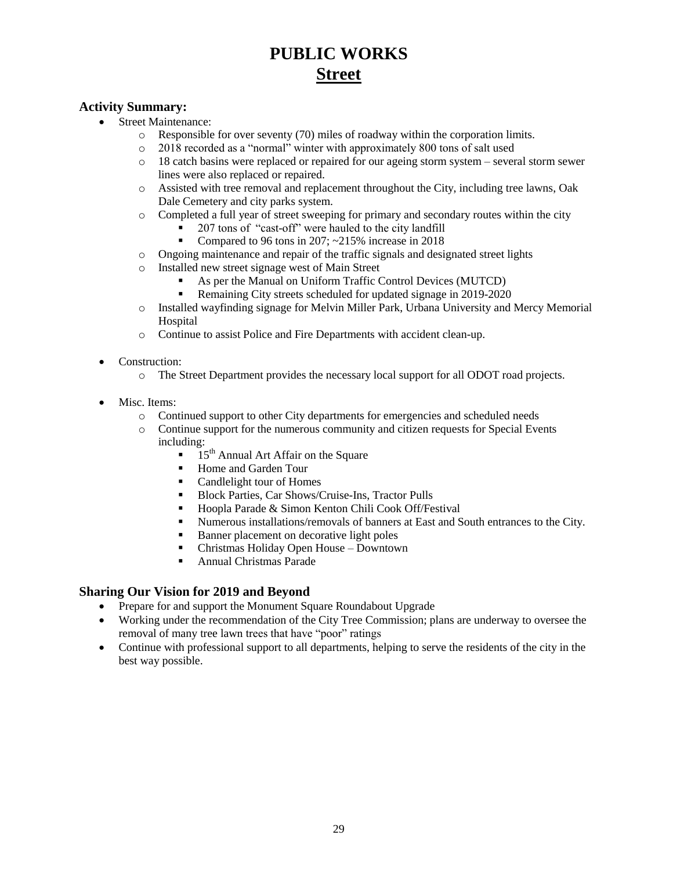# **PUBLIC WORKS Street**

### **Activity Summary:**

- Street Maintenance:
	- o Responsible for over seventy (70) miles of roadway within the corporation limits.
	- o 2018 recorded as a "normal" winter with approximately 800 tons of salt used
	- o 18 catch basins were replaced or repaired for our ageing storm system several storm sewer lines were also replaced or repaired.
	- o Assisted with tree removal and replacement throughout the City, including tree lawns, Oak Dale Cemetery and city parks system.
	- o Completed a full year of street sweeping for primary and secondary routes within the city
		- 207 tons of "cast-off" were hauled to the city landfill
		- Compared to 96 tons in 207;  $\sim$  215% increase in 2018
	- o Ongoing maintenance and repair of the traffic signals and designated street lights
	- o Installed new street signage west of Main Street
		- As per the Manual on Uniform Traffic Control Devices (MUTCD)
		- Remaining City streets scheduled for updated signage in 2019-2020
	- o Installed wayfinding signage for Melvin Miller Park, Urbana University and Mercy Memorial Hospital
	- o Continue to assist Police and Fire Departments with accident clean-up.
- Construction:
	- o The Street Department provides the necessary local support for all ODOT road projects.
- Misc. Items:
	- o Continued support to other City departments for emergencies and scheduled needs
	- o Continue support for the numerous community and citizen requests for Special Events including:
		- $\blacksquare$  15<sup>th</sup> Annual Art Affair on the Square
		- Home and Garden Tour
		- Candlelight tour of Homes
		- Block Parties, Car Shows/Cruise-Ins, Tractor Pulls
		- Hoopla Parade & Simon Kenton Chili Cook Off/Festival
		- Numerous installations/removals of banners at East and South entrances to the City.
		- Banner placement on decorative light poles
		- Christmas Holiday Open House Downtown
		- **Annual Christmas Parade**

#### **Sharing Our Vision for 2019 and Beyond**

- Prepare for and support the Monument Square Roundabout Upgrade
- Working under the recommendation of the City Tree Commission; plans are underway to oversee the removal of many tree lawn trees that have "poor" ratings
- Continue with professional support to all departments, helping to serve the residents of the city in the best way possible.